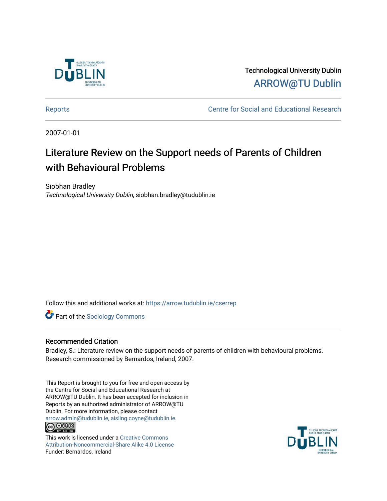

Technological University Dublin [ARROW@TU Dublin](https://arrow.tudublin.ie/) 

[Reports](https://arrow.tudublin.ie/cserrep) **Centre for Social and Educational Research** 

2007-01-01

# Literature Review on the Support needs of Parents of Children with Behavioural Problems

Siobhan Bradley Technological University Dublin, siobhan.bradley@tudublin.ie

Follow this and additional works at: [https://arrow.tudublin.ie/cserrep](https://arrow.tudublin.ie/cserrep?utm_source=arrow.tudublin.ie%2Fcserrep%2F1&utm_medium=PDF&utm_campaign=PDFCoverPages)

Part of the [Sociology Commons](http://network.bepress.com/hgg/discipline/416?utm_source=arrow.tudublin.ie%2Fcserrep%2F1&utm_medium=PDF&utm_campaign=PDFCoverPages)

# Recommended Citation

Bradley, S.: Literature review on the support needs of parents of children with behavioural problems. Research commissioned by Bernardos, Ireland, 2007.

This Report is brought to you for free and open access by the Centre for Social and Educational Research at ARROW@TU Dublin. It has been accepted for inclusion in Reports by an authorized administrator of ARROW@TU Dublin. For more information, please contact [arrow.admin@tudublin.ie, aisling.coyne@tudublin.ie](mailto:arrow.admin@tudublin.ie,%20aisling.coyne@tudublin.ie).<br>(co 060

This work is licensed under a [Creative Commons](http://creativecommons.org/licenses/by-nc-sa/4.0/) [Attribution-Noncommercial-Share Alike 4.0 License](http://creativecommons.org/licenses/by-nc-sa/4.0/) Funder: Bernardos, Ireland

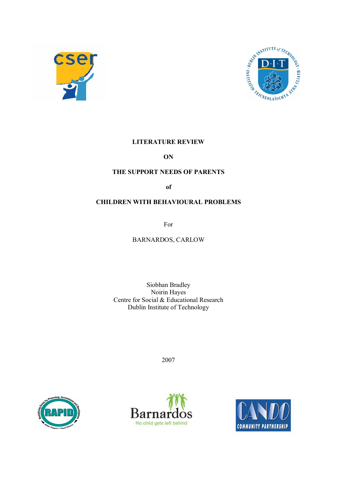



# **LITERATURE REVIEW**

# **ON**

# **THE SUPPORT NEEDS OF PARENTS**

**of**

# **CHILDREN WITH BEHAVIOURAL PROBLEMS**

For

# BARNARDOS, CARLOW

Siobhan Bradley Noirin Hayes Centre for Social & Educational Research Dublin Institute of Technology

2007





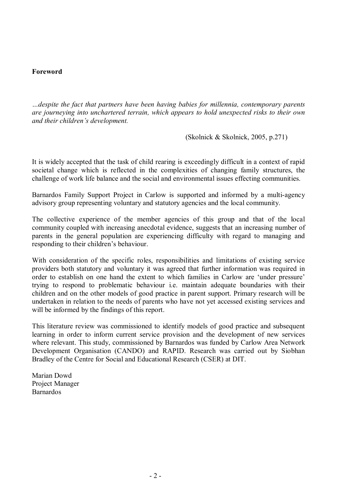# **Foreword**

*…despite the fact that partners have been having babies for millennia, contemporary parents are journeying into unchartered terrain, which appears to hold unexpected risks to their own and their children's development.*

(Skolnick & Skolnick, 2005, p.271)

It is widely accepted that the task of child rearing is exceedingly difficult in a context of rapid societal change which is reflected in the complexities of changing family structures, the challenge of work life balance and the social and environmental issues effecting communities.

Barnardos Family Support Project in Carlow is supported and informed by a multi-agency advisory group representing voluntary and statutory agencies and the local community.

The collective experience of the member agencies of this group and that of the local community coupled with increasing anecdotal evidence, suggests that an increasing number of parents in the general population are experiencing difficulty with regard to managing and responding to their children's behaviour.

With consideration of the specific roles, responsibilities and limitations of existing service providers both statutory and voluntary it was agreed that further information was required in order to establish on one hand the extent to which families in Carlow are 'under pressure' trying to respond to problematic behaviour i.e. maintain adequate boundaries with their children and on the other models of good practice in parent support. Primary research will be undertaken in relation to the needs of parents who have not yet accessed existing services and will be informed by the findings of this report.

This literature review was commissioned to identify models of good practice and subsequent learning in order to inform current service provision and the development of new services where relevant. This study, commissioned by Barnardos was funded by Carlow Area Network Development Organisation (CANDO) and RAPID. Research was carried out by Siobhan Bradley of the Centre for Social and Educational Research (CSER) at DIT.

Marian Dowd Project Manager Barnardos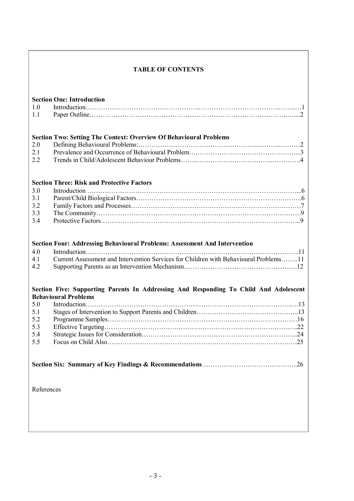# **TABLE OF CONTENTS**

| 1.0<br>1.1                                                                                                                  | <b>Section One: Introduction</b>                                                                                                                                           |  |  |  |  |  |  |
|-----------------------------------------------------------------------------------------------------------------------------|----------------------------------------------------------------------------------------------------------------------------------------------------------------------------|--|--|--|--|--|--|
| <b>Section Two: Setting The Context: Overview Of Behavioural Problems</b><br>2.0                                            |                                                                                                                                                                            |  |  |  |  |  |  |
| 2.1                                                                                                                         |                                                                                                                                                                            |  |  |  |  |  |  |
| 2.2                                                                                                                         |                                                                                                                                                                            |  |  |  |  |  |  |
|                                                                                                                             | <b>Section Three: Risk and Protective Factors</b>                                                                                                                          |  |  |  |  |  |  |
| 3.0                                                                                                                         |                                                                                                                                                                            |  |  |  |  |  |  |
| 3.1                                                                                                                         |                                                                                                                                                                            |  |  |  |  |  |  |
| 3.2                                                                                                                         |                                                                                                                                                                            |  |  |  |  |  |  |
| 3.3                                                                                                                         |                                                                                                                                                                            |  |  |  |  |  |  |
| 3.4                                                                                                                         |                                                                                                                                                                            |  |  |  |  |  |  |
| 4.0<br>4.1<br>4.2                                                                                                           | <b>Section Four: Addressing Behavioural Problems: Assessment And Intervention</b><br>Current Assessment and Intervention Services for Children with Behavioural Problems11 |  |  |  |  |  |  |
| Section Five: Supporting Parents In Addressing And Responding To Child And Adolescent<br><b>Behavioural Problems</b><br>5.0 |                                                                                                                                                                            |  |  |  |  |  |  |
| 5.1                                                                                                                         |                                                                                                                                                                            |  |  |  |  |  |  |
| 5.2                                                                                                                         |                                                                                                                                                                            |  |  |  |  |  |  |
| 5.3                                                                                                                         |                                                                                                                                                                            |  |  |  |  |  |  |
| 5.4                                                                                                                         |                                                                                                                                                                            |  |  |  |  |  |  |
| 5.5                                                                                                                         | Focus on Child Also                                                                                                                                                        |  |  |  |  |  |  |
| References                                                                                                                  |                                                                                                                                                                            |  |  |  |  |  |  |
|                                                                                                                             |                                                                                                                                                                            |  |  |  |  |  |  |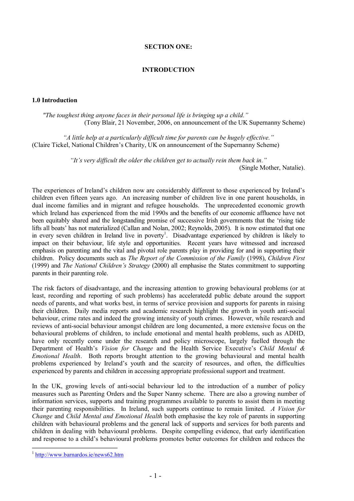#### **SECTION ONE:**

### **INTRODUCTION**

#### **1.0 Introduction**

*"The toughest thing anyone faces in their personal life is bringing up a child."* (Tony Blair, 21 November, 2006, on announcement of the UK Supernanny Scheme)

*"A little help at a particularly difficult time for parents can be hugely effective."* (Claire Tickel, National Children's Charity, UK on announcement of the Supernanny Scheme)

> *"It's very difficult the older the children get to actually rein them back in."* (Single Mother, Natalie).

The experiences of Ireland's children now are considerably different to those experienced by Ireland's children even fifteen years ago. An increasing number of children live in one parent households, in dual income families and in migrant and refugee households. The unprecedented economic growth which Ireland has experienced from the mid 1990s and the benefits of our economic affluence have not been equitably shared and the longstanding promise of successive Irish governments that the 'rising tide lifts all boats' has not materialized (Callan and Nolan, 2002; Reynolds, 2005). It is now estimated that one in every seven children in Ireland live in poverty<sup>1</sup>. Disadvantage experienced by children is likely to impact on their behaviour, life style and opportunities. Recent years have witnessed and increased emphasis on parenting and the vital and pivotal role parents play in providing for and in supporting their children. Policy documents such as *The Report of the Commission of the Family* (1998), *Children First* (1999) and *The National Children's Strategy* (2000) all emphasise the States commitment to supporting parents in their parenting role.

The risk factors of disadvantage, and the increasing attention to growing behavioural problems (or at least, recording and reporting of such problems) has acceleratedd public debate around the support needs of parents, and what works best, in terms of service provision and supports for parents in raising their children. Daily media reports and academic research highlight the growth in youth antisocial behaviour, crime rates and indeed the growing intensity of youth crimes. However, while research and reviews of anti-social behaviour amongst children are long documented, a more extensive focus on the behavioural problems of children, to include emotional and mental health problems, such as ADHD, have only recently come under the research and policy microscope, largely fuelled through the Department of Health's *Vision for Change* and the Health Service Executive's *Child Mental & Emotional Health*. Both reports brought attention to the growing behavioural and mental health problems experienced by Ireland's youth and the scarcity of resources, and often, the difficulties experienced by parents and children in accessing appropriate professional support and treatment.

In the UK, growing levels of anti-social behaviour led to the introduction of a number of policy measures such as Parenting Orders and the Super Nanny scheme. There are also a growing number of information services, supports and training programmes available to parents to assist them in meeting their parenting responsibilities. In Ireland, such supports continue to remain limited. *A Vision for Change* and *Child Mental and Emotional Health* both emphasise the key role of parents in supporting children with behavioural problems and the general lack of supports and services for both parents and children in dealing with behavioural problems. Despite compelling evidence, that early identification and response to a child's behavioural problems promotes better outcomes for children and reduces the

<sup>1</sup> http://www.barnardos.ie/news62.htm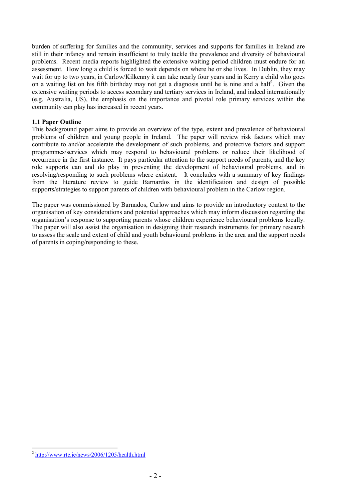burden of suffering for families and the community, services and supports for families in Ireland are still in their infancy and remain insufficient to truly tackle the prevalence and diversity of behavioural problems. Recent media reports highlighted the extensive waiting period children must endure for an assessment. How long a child is forced to wait depends on where he or she lives. In Dublin, they may wait for up to two years, in Carlow/Kilkenny it can take nearly four years and in Kerry a child who goes on a waiting list on his fifth birthday may not get a diagnosis until he is nine and a half<sup>2</sup>. Given the extensive waiting periods to access secondary and tertiary services in Ireland, and indeed internationally (e.g. Australia, US), the emphasis on the importance and pivotal role primary services within the community can play has increased in recent years.

## **1.1 Paper Outline**

This background paper aims to provide an overview of the type, extent and prevalence of behavioural problems of children and young people in Ireland. The paper will review risk factors which may contribute to and/or accelerate the development of such problems, and protective factors and support programmes/services which may respond to behavioural problems or reduce their likelihood of occurrence in the first instance. It pays particular attention to the support needs of parents, and the key role supports can and do play in preventing the development of behavioural problems, and in resolving/responding to such problems where existent. It concludes with a summary of key findings from the literature review to guide Barnardos in the identification and design of possible supports/strategies to support parents of children with behavioural problem in the Carlow region.

The paper was commissioned by Barnados, Carlow and aims to provide an introductory context to the organisation of key considerations and potential approaches which may inform discussion regarding the organisation's response to supporting parents whose children experience behavioural problems locally. The paper will also assist the organisation in designing their research instruments for primary research to assess the scale and extent of child and youth behavioural problems in the area and the support needs of parents in coping/responding to these.

 $^{2}$  http://www.rte.ie/news/2006/1205/health.html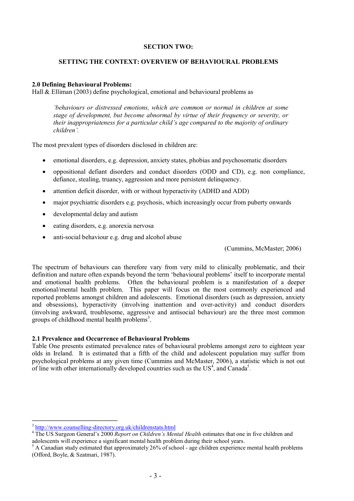#### **SECTION TWO:**

### **SETTING THE CONTEXT: OVERVIEW OF BEHAVIOURAL PROBLEMS**

#### **2.0 Defining Behavioural Problems:**

Hall & Elliman (2003) define psychological, emotional and behavioural problems as

*'behaviours or distressed emotions, which are common or normal in children at some stage of development, but become abnormal by virtue of their frequency or severity, or their inappropriateness for a particular child's age compared to the majority of ordinary children'.*

The most prevalent types of disorders disclosed in children are:

- · emotional disorders, e.g. depression, anxiety states, phobias and psychosomatic disorders
- oppositional defiant disorders and conduct disorders (ODD and CD), e.g. non compliance, defiance, stealing, truancy, aggression and more persistent delinquency.
- attention deficit disorder, with or without hyperactivity (ADHD and ADD)
- major psychiatric disorders e.g. psychosis, which increasingly occur from puberty onwards
- · developmental delay and autism
- eating disorders, e.g. anorexia nervosa
- anti-social behaviour e.g. drug and alcohol abuse

(Cummins, McMaster; 2006)

The spectrum of behaviours can therefore vary from very mild to clinically problematic, and their definition and nature often expands beyond the term 'behavioural problems' itself to incorporate mental and emotional health problems. Often the behavioural problem is a manifestation of a deeper emotional/mental health problem. This paper will focus on the most commonly experienced and reported problems amongst children and adolescents. Emotional disorders (such as depression, anxiety and obsessions), hyperactivity (involving inattention and over-activity) and conduct disorders (involving awkward, troublesome, aggressive and antisocial behaviour) are the three most common groups of childhood mental health problems<sup>3</sup>.

#### **2.1 Prevalence and Occurrence of Behavioural Problems**

Table One presents estimated prevalence rates of behavioural problems amongst zero to eighteen year olds in Ireland. It is estimated that a fifth of the child and adolescent population may suffer from psychological problems at any given time (Cummins and McMaster, 2006), a statistic which is not out of line with other internationally developed countries such as the  $US^4$ , and Canada<sup>5</sup>.

<sup>&</sup>lt;sup>3</sup> http://www.counselling-directory.org.uk/childrenstats.html<br>
<sup>4</sup> The US Surgeon General's 2000 *Report on Children's Mental Health* estimates that one in five children and<br>
adolescents will experience a significant ment

 $5$  A Canadian study estimated that approximately 26% of school - age children experience mental health problems (Offord, Boyle, & Szatmari, 1987).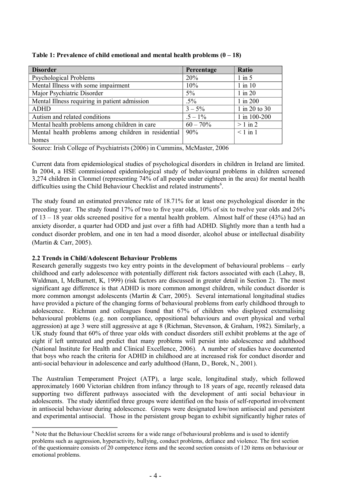| <b>Disorder</b>                                      | Percentage  | <b>Ratio</b>  |
|------------------------------------------------------|-------------|---------------|
| Psychological Problems                               | 20%         | $1$ in $5$    |
| Mental Illness with some impairment                  | 10%         | $1$ in $10$   |
| Major Psychiatric Disorder                           | $5\%$       | $1$ in $20$   |
| Mental Illness requiring in patient admission        | $.5\%$      | 1 in 200      |
| <b>ADHD</b>                                          | $3 - 5\%$   | 1 in 20 to 30 |
| Autism and related conditions                        | $.5 - 1\%$  | 1 in 100-200  |
| Mental health problems among children in care        | $60 - 70\%$ | $> 1$ in 2    |
| Mental health problems among children in residential | 90%         | $< 1$ in 1    |
| homes                                                |             |               |

**Table 1: Prevalence of child emotional and mental health problems (0 – 18)**

Source: Irish College of Psychiatrists (2006) in Cummins, McMaster, 2006

Current data from epidemiological studies of psychological disorders in children in Ireland are limited. In 2004, a HSE commissioned epidemiological study of behavioural problems in children screened 3,274 children in Clonmel (representing 74% of all people under eighteen in the area) for mental health difficulties using the Child Behaviour Checklist and related instruments<sup>6</sup>.

The study found an estimated prevalence rate of 18.71% for at least one psychological disorder in the preceding year. The study found 17% of two to five year olds, 10% of six to twelve year olds and 26% of 13 – 18 year olds screened positive for a mental health problem. Almost half of these (43%) had an anxiety disorder, a quarter had ODD and just over a fifth had ADHD. Slightly more than a tenth had a conduct disorder problem, and one in ten had a mood disorder, alcohol abuse or intellectual disability (Martin & Carr, 2005).

# **2.2 Trends in Child/Adolescent Behaviour Problems**

Research generally suggests two key entry points in the development of behavioural problems – early childhood and early adolescence with potentially different risk factors associated with each (Lahey, B, Waldman, I, McBurnett, K, 1999) (risk factors are discussed in greater detail in Section 2). The most significant age difference is that ADHD is more common amongst children, while conduct disorder is more common amongst adolescents (Martin & Carr, 2005). Several international longitudinal studies have provided a picture of the changing forms of behavioural problems from early childhood through to adolescence. Richman and colleagues found that 67% of children who displayed externalising behavioural problems (e.g. non compliance, oppositional behaviours and overt physical and verbal aggression) at age 3 were still aggressive at age 8 (Richman, Stevenson, & Graham, 1982). Similarly, a UK study found that 60% of three year olds with conduct disorders still exhibit problems at the age of eight if left untreated and predict that many problems will persist into adolescence and adulthood (National Institute for Health and Clinical Excellence, 2006). A number of studies have documented that boys who reach the criteria for ADHD in childhood are at increased risk for conduct disorder and anti-social behaviour in adolescence and early adulthood (Hann, D., Borek, N., 2001).

The Australian Temperament Project (ATP), a large scale, longitudinal study, which followed approximately 1600 Victorian children from infancy through to 18 years of age, recently released data supporting two different pathways associated with the development of anti social behaviour in adolescents. The study identified three groups were identified on the basis of self-reported involvement in antisocial behaviour during adolescence. Groups were designated low/non antisocial and persistent and experimental antisocial. Those in the persistent group began to exhibit significantly higher rates of

<sup>&</sup>lt;sup>6</sup> Note that the Behaviour Checklist screens for a wide range of behavioural problems and is used to identify problems such as aggression, hyperactivity, bullying, conduct problems, defiance and violence. The first section of the questionnaire consists of 20 competence items and the second section consists of 120 items on behaviour or emotional problems.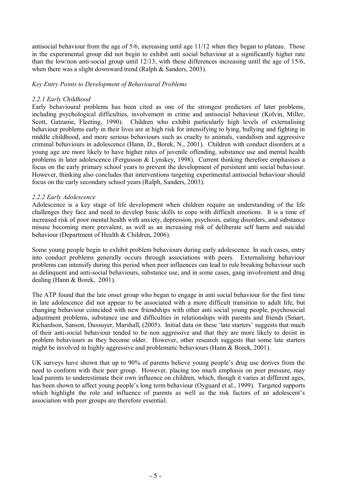antisocial behaviour from the age of 5/6, increasing until age 11/12 when they began to plateau. Those in the experimental group did not begin to exhibit anti social behaviour at a significantly higher rate than the low/non anti-social group until  $12/13$ , with these differences increasing until the age of  $15/6$ , when there was a slight downward trend (Ralph & Sanders, 2003).

## *Key Entry Points to Development of Behavioural Problems*

#### *2.2.1 Early Childhood*

Early behavioural problems has been cited as one of the strongest predictors of later problems, including psychological difficulties, involvement in crime and antisocial behaviour (Kolvin, Miller, Scott, Gatzanie, Fleeting, 1990). Children who exhibit particularly high levels of externalising behaviour problems early in their lives are at high risk for intensifying to lying, bullying and fighting in middle childhood, and more serious behaviours such as cruelty to animals, vandalism and aggressive criminal behaviours in adolescence (Hann, D., Borek, N., 2001). Children with conduct disorders at a young age are more likely to have higher rates of juvenile offending, substance use and mental health problems in later adolescence (Fergusson & Lynskey, 1998). Current thinking therefore emphasises a focus on the early primary school years to prevent the development of persistent anti social behaviour. However, thinking also concludes that interventions targeting experimental antisocial behaviour should focus on the early secondary school years (Ralph, Sanders, 2003).

### *2.2.2 Early Adolescence*

Adolescence is a key stage of life development when children require an understanding of the life challenges they face and need to develop basic skills to cope with difficult emotions. It is a time of increased risk of poor mental health with anxiety, depression, psychosis, eating disorders, and substance misuse becoming more prevalent, as well as an increasing risk of deliberate self harm and suicidal behaviour (Department of Health & Children, 2006).

Some young people begin to exhibit problem behaviours during early adolescence. In such cases, entry into conduct problems generally occurs through associations with peers. Externalising behaviour problems can intensify during this period when peer influences can lead to rule breaking behaviour such as delinquent and antisocial behaviours, substance use, and in some cases, gang involvement and drug dealing (Hann & Borek, 2001).

The ATP found that the late onset group who began to engage in anti social behaviour for the first time in late adolescence did not appear to be associated with a more difficult transition to adult life, but changing behaviour coincided with new friendships with other anti social young people, psychosocial adjustment problems, substance use and difficulties in relationships with parents and friends (Smart, Richardson, Sanson, Dussuyer, Marshall, (2005). Initial data on these 'late starters' suggests that much of their antisocial behaviour tended to be non aggressive and that they are more likely to desist in problem behaviours as they become older. However, other research suggests that some late starters might be involved in highly aggressive and problematic behaviours (Hann & Borek, 2001).

UK surveys have shown that up to 90% of parents believe young people's drug use derives from the need to conform with their peer group. However, placing too much emphasis on peer pressure, may lead parents to underestimate their own influence on children, which, though it varies at different ages, has been shown to affect young people's long term behaviour (Oyguard et al., 1999). Targeted supports which highlight the role and influence of parents as well as the risk factors of an adolescent's association with peer groups are therefore essential.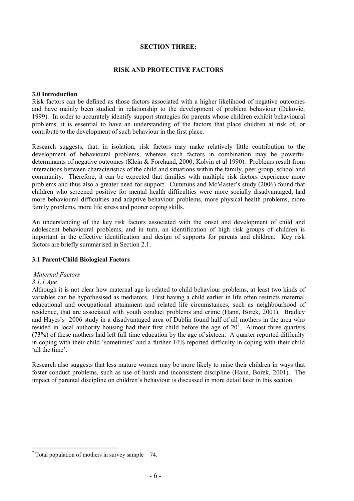#### **SECTION THREE:**

#### **RISK AND PROTECTIVE FACTORS**

#### **3.0 Introduction**

Risk factors can be defined as those factors associated with a higher likelihood of negative outcomes and have mainly been studied in relationship to the development of problem behaviour (Deković, 1999). In order to accurately identify support strategies for parents whose children exhibit behavioural problems, it is essential to have an understanding of the factors that place children at risk of, or contribute to the development of such behaviour in the first place.

Research suggests, that, in isolation, risk factors may make relatively little contribution to the development of behavioural problems, whereas such factors in combination may be powerful determinants of negative outcomes (Klein & Forehand, 2000; Kolvin et al 1990). Problems result from interactions between characteristics of the child and situations within the family, peer group, school and community. Therefore, it can be expected that families with multiple risk factors experience more problems and thus also a greater need for support. Cummins and McMaster's study (2006) found that children who screened positive for mental health difficulties were more socially disadvantaged, had more behavioural difficulties and adaptive behaviour problems, more physical health problems, more family problems, more life stress and poorer coping skills.

An understanding of the key risk factors associated with the onset and development of child and adolescent behavioural problems, and in turn, an identification of high risk groups of children is important in the effective identification and design of supports for parents and children. Key risk factors are briefly summarised in Section 2.1.

#### **3.1 Parent/Child Biological Factors**

#### *Maternal Factors*

#### *3.1.1 Age*

Although it is not clear how maternal age is related to child behaviour problems, at least two kinds of variables can be hypothesised as mediators. First having a child earlier in life often restricts maternal educational and occupational attainment and related life circumstances, such as neighbourhood of residence, that are associated with youth conduct problems and crime (Hann, Borek, 2001). Bradley and Hayes's 2006 study in a disadvantaged area of Dublin found half of all mothers in the area who resided in local authority housing had their first child before the age of  $20^7$ . Almost three quarters (73%) of these mothers had left full time education by the age of sixteen. A quarter reported difficulty in coping with their child 'sometimes' and a further 14% reported difficulty in coping with their child 'all the time'.

Research also suggests that less mature women may be more likely to raise their children in ways that foster conduct problems, such as use of harsh and inconsistent discipline (Hann, Borek, 2001). The impact of parental discipline on children's behaviour is discussed in more detail later in this section.

 $\frac{7}{7}$  Total population of mothers in survey sample = 74.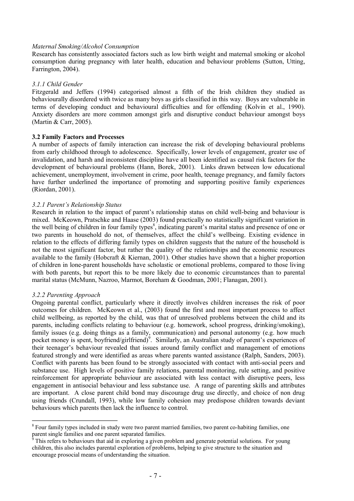#### *Maternal Smoking/Alcohol Consumption*

Research has consistently associated factors such as low birth weight and maternal smoking or alcohol consumption during pregnancy with later health, education and behaviour problems (Sutton, Utting, Farrington, 2004).

#### *3.1.1 Child Gender*

Fitzgerald and Jeffers (1994) categorised almost a fifth of the Irish children they studied as behaviourally disordered with twice as many boys as girls classified in this way. Boys are vulnerable in terms of developing conduct and behavioural difficulties and for offending (Kolvin et al., 1990). Anxiety disorders are more common amongst girls and disruptive conduct behaviour amongst boys (Martin & Carr, 2005).

#### **3.2 Family Factors and Processes**

A number of aspects of family interaction can increase the risk of developing behavioural problems from early childhood through to adolescence. Specifically, lower levels of engagement, greater use of invalidation, and harsh and inconsistent discipline have all been identified as causal risk factors for the development of behavioural problems (Hann, Borek, 2001). Links drawn between low educational achievement, unemployment, involvement in crime, poor health, teenage pregnancy, and family factors have further underlined the importance of promoting and supporting positive family experiences (Riordan, 2001).

#### *3.2.1 Parent's Relationship Status*

Research in relation to the impact of parent's relationship status on child well-being and behaviour is mixed. McKeown, Pratschke and Haase (2003) found practically no statistically significant variation in the well being of children in four family types<sup>8</sup>, indicating parent's marital status and presence of one or two parents in household do not, of themselves, affect the child's wellbeing. Existing evidence in relation to the effects of differing family types on children suggests that the nature of the household is not the most significant factor, but rather the quality of the relationships and the economic resources available to the family (Hobcraft & Kiernan, 2001). Other studies have shown that a higher proportion of children in loneparent households have scholastic or emotional problems, compared to those living with both parents, but report this to be more likely due to economic circumstances than to parental marital status (McMunn, Nazroo, Marmot, Boreham & Goodman, 2001; Flanagan, 2001).

#### *3.2.2 Parenting Approach*

Ongoing parental conflict, particularly where it directly involves children increases the risk of poor outcomes for children. McKeown et al., (2003) found the first and most important process to affect child wellbeing, as reported by the child, was that of unresolved problems between the child and its parents, including conflicts relating to behaviour (e.g. homework, school progress, drinking/smoking), family issues (e.g. doing things as a family, communication) and personal autonomy (e.g. how much pocket money is spent, boyfriend/girlfriend)<sup>9</sup>. Similarly, an Australian study of parent's experiences of their teenager's behaviour revealed that issues around family conflict and management of emotions featured strongly and were identified as areas where parents wanted assistance (Ralph, Sanders, 2003). Conflict with parents has been found to be strongly associated with contact with antisocial peers and substance use. High levels of positive family relations, parental monitoring, rule setting, and positive reinforcement for appropriate behaviour are associated with less contact with disruptive peers, less engagement in antisocial behaviour and less substance use. A range of parenting skills and attributes are important. A close parent child bond may discourage drug use directly, and choice of non drug using friends (Crundall, 1993), while low family cohesion may predispose children towards deviant behaviours which parents then lack the influence to control.

<sup>&</sup>lt;sup>8</sup> Four family types included in study were two parent married families, two parent co-habiting families, one parent single families and one parent separated families.

This refers to behaviours that aid in exploring a given problem and generate potential solutions. For young children, this also includes parental exploration of problems, helping to give structure to the situation and encourage prosocial means of understanding the situation.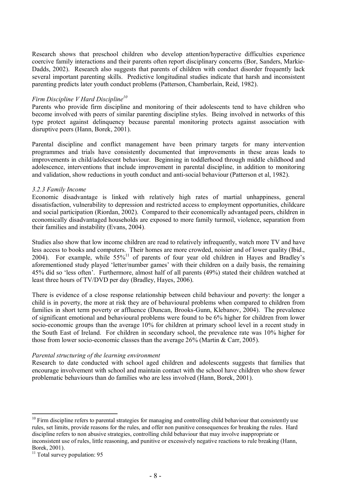Research shows that preschool children who develop attention/hyperactive difficulties experience coercive family interactions and their parents often report disciplinary concerns (Bor, Sanders, Markie Dadds, 2002). Research also suggests that parents of children with conduct disorder frequently lack several important parenting skills. Predictive longitudinal studies indicate that harsh and inconsistent parenting predicts later youth conduct problems (Patterson, Chamberlain, Reid, 1982).

# *Firm Discipline V Hard Discipline 10*

Parents who provide firm discipline and monitoring of their adolescents tend to have children who become involved with peers of similar parenting discipline styles. Being involved in networks of this type protect against delinquency because parental monitoring protects against association with disruptive peers (Hann, Borek, 2001).

Parental discipline and conflict management have been primary targets for many intervention programmes and trials have consistently documented that improvements in these areas leads to improvements in child/adolescent behaviour. Beginning in toddlerhood through middle childhood and adolescence, interventions that include improvement in parental discipline, in addition to monitoring and validation, show reductions in youth conduct and antisocial behaviour (Patterson et al, 1982).

#### *3.2.3 Family Income*

Economic disadvantage is linked with relatively high rates of martial unhappiness, general dissatisfaction, vulnerability to depression and restricted access to employment opportunities, childcare and social participation (Riordan, 2002). Compared to their economically advantaged peers, children in economically disadvantaged households are exposed to more family turmoil, violence, separation from their families and instability (Evans, 2004).

Studies also show that low income children are read to relatively infrequently, watch more TV and have less access to books and computers. Their homes are more crowded, noisier and of lower quality (Ibid., 2004). For example, while 55%<sup>11</sup> of parents of four year old children in Hayes and Bradley's aforementioned study played 'letter/number games' with their children on a daily basis, the remaining 45% did so 'less often'. Furthermore, almost half of all parents (49%) stated their children watched at least three hours of TV/DVD per day (Bradley, Hayes, 2006).

There is evidence of a close response relationship between child behaviour and poverty: the longer a child is in poverty, the more at risk they are of behavioural problems when compared to children from families in short term poverty or affluence (Duncan, Brooks-Gunn, Klebanov, 2004). The prevalence of significant emotional and behavioural problems were found to be 6% higher for children from lower socio-economic groups than the average 10% for children at primary school level in a recent study in the South East of Ireland. For children in secondary school, the prevalence rate was 10% higher for those from lower socio-economic classes than the average  $26\%$  (Martin & Carr, 2005).

#### *Parental structuring of the learning environment*

Research to date conducted with school aged children and adolescents suggests that families that encourage involvement with school and maintain contact with the school have children who show fewer problematic behaviours than do families who are less involved (Hann, Borek, 2001).

<sup>&</sup>lt;sup>10</sup> Firm discipline refers to parental strategies for managing and controlling child behaviour that consistently use rules, set limits, provide reasons for the rules, and offer non punitive consequences for breaking the rules. Hard discipline refers to non abusive strategies, controlling child behaviour that may involve inappropriate or inconsistent use of rules, little reasoning, and punitive or excessively negative reactions to rule breaking (Hann,

 $11$  Total survey population: 95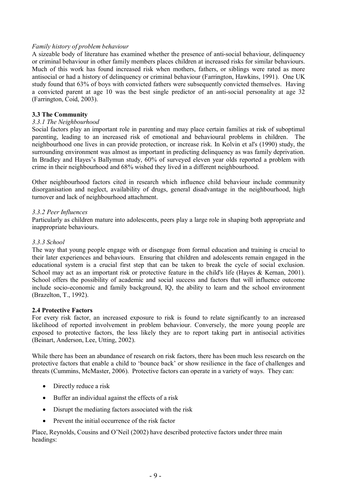#### *Family history of problem behaviour*

A sizeable body of literature has examined whether the presence of antisocial behaviour, delinquency or criminal behaviour in other family members places children at increased risks for similar behaviours. Much of this work has found increased risk when mothers, fathers, or siblings were rated as more antisocial or had a history of delinquency or criminal behaviour (Farrington, Hawkins, 1991). One UK study found that 63% of boys with convicted fathers were subsequently convicted themselves. Having a convicted parent at age 10 was the best single predictor of an antisocial personality at age 32 (Farrington, Coid, 2003).

#### **3.3 The Community**

#### *3.3.1 The Neighbourhood*

Social factors play an important role in parenting and may place certain families at risk of suboptimal parenting, leading to an increased risk of emotional and behavioural problems in children. The neighbourhood one lives in can provide protection, or increase risk. In Kolvin et al's (1990) study, the surrounding environment was almost as important in predicting delinquency as was family deprivation. In Bradley and Hayes's Ballymun study, 60% of surveyed eleven year olds reported a problem with crime in their neighbourhood and 68% wished they lived in a different neighbourhood.

Other neighbourhood factors cited in research which influence child behaviour include community disorganisation and neglect, availability of drugs, general disadvantage in the neighbourhood, high turnover and lack of neighbourhood attachment.

### *3.3.2 Peer Influences*

Particularly as children mature into adolescents, peers play a large role in shaping both appropriate and inappropriate behaviours.

### *3.3.3 School*

The way that young people engage with or disengage from formal education and training is crucial to their later experiences and behaviours. Ensuring that children and adolescents remain engaged in the educational system is a crucial first step that can be taken to break the cycle of social exclusion. School may act as an important risk or protective feature in the child's life (Hayes & Kernan, 2001). School offers the possibility of academic and social success and factors that will influence outcome include socio-economic and family background, IO, the ability to learn and the school environment (Brazelton, T., 1992).

#### **2.4 Protective Factors**

For every risk factor, an increased exposure to risk is found to relate significantly to an increased likelihood of reported involvement in problem behaviour. Conversely, the more young people are exposed to protective factors, the less likely they are to report taking part in antisocial activities (Beinart, Anderson, Lee, Utting, 2002).

While there has been an abundance of research on risk factors, there has been much less research on the protective factors that enable a child to 'bounce back' or show resilience in the face of challenges and threats (Cummins, McMaster, 2006). Protective factors can operate in a variety of ways. They can:

- Directly reduce a risk
- · Buffer an individual against the effects of a risk
- Disrupt the mediating factors associated with the risk
- Prevent the initial occurrence of the risk factor

Place, Reynolds, Cousins and O'Neil (2002) have described protective factors under three main headings: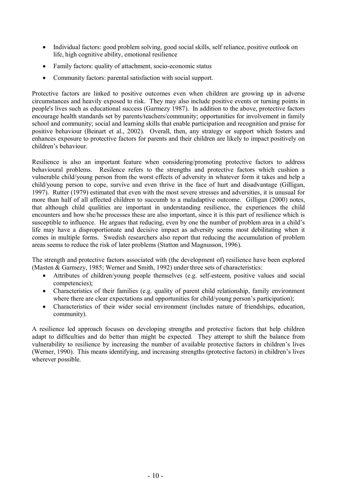- Individual factors: good problem solving, good social skills, self reliance, positive outlook on life, high cognitive ability, emotional resilience
- Family factors: quality of attachment, socio-economic status
- · Community factors: parental satisfaction with social support.

Protective factors are linked to positive outcomes even when children are growing up in adverse circumstances and heavily exposed to risk. They may also include positive events or turning points in people's lives such as educational success (Garmezy 1987). In addition to the above, protective factors encourage health standards set by parents/teachers/community; opportunities for involvement in family school and community; social and learning skills that enable participation and recognition and praise for positive behaviour (Beinart et al., 2002). Overall, then, any strategy or support which fosters and enhances exposure to protective factors for parents and their children are likely to impact positively on children's behaviour.

Resilience is also an important feature when considering/promoting protective factors to address behavioural problems. Resilence refers to the strengths and protective factors which cushion a vulnerable child/young person from the worst effects of adversity in whatever form it takes and help a child/young person to cope, survive and even thrive in the face of hurt and disadvantage (Gilligan, 1997). Rutter (1979) estimated that even with the most severe stresses and adversities, it is unusual for more than half of all affected children to succumb to a maladaptive outcome. Gilligan (2000) notes, that although child qualities are important in understanding resilience, the experiences the child encounters and how she/he processes these are also important, since it is this part of resilience which is susceptible to influence. He argues that reducing, even by one the number of problem area in a child's life may have a disproportionate and decisive impact as adversity seems most debilitating when it comes in multiple forms. Swedish researchers also report that reducing the accumulation of problem areas seems to reduce the risk of later problems (Statton and Magnusson, 1996).

The strength and protective factors associated with (the development of) resilience have been explored (Masten & Garmezy, 1985; Werner and Smith, 1992) under three sets of characteristics:

- Attributes of children/young people themselves (e.g. self-esteem, positive values and social competencies);
- Characteristics of their families (e.g. quality of parent child relationship, family environment where there are clear expectations and opportunities for child/young person's participation);
- · Characteristics of their wider social environment (includes nature of friendships, education, community).

A resilience led approach focuses on developing strengths and protective factors that help children adapt to difficulties and do better than might be expected. They attempt to shift the balance from vulnerability to resilience by increasing the number of available protective factors in children's lives (Werner, 1990). This means identifying, and increasing strengths (protective factors) in children's lives wherever possible.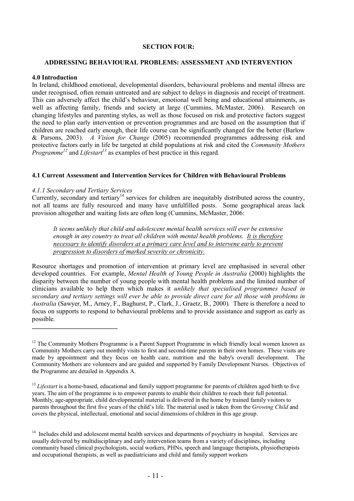#### **SECTION FOUR:**

#### **ADDRESSING BEHAVIOURAL PROBLEMS: ASSESSMENT AND INTERVENTION**

#### **4.0 Introduction**

In Ireland, childhood emotional, developmental disorders, behavioural problems and mental illness are under recognised, often remain untreated and are subject to delays in diagnosis and receipt of treatment. This can adversely affect the child's behaviour, emotional well being and educational attainments, as well as affecting family, friends and society at large (Cummins, McMaster, 2006). Research on changing lifestyles and parenting styles, as well as those focused on risk and protective factors suggest the need to plan early intervention or prevention programmes and are based on the assumption that if children are reached early enough, their life course can be significantly changed for the better (Barlow & Parsons, 2003). *A Vision for Change* (2005) recommended programmes addressing risk and protective factors early in life be targeted at child populations at risk and cited the *Community Mothers Programme*<sup>12</sup> and *Lifestart*<sup>13</sup> as examples of best practice in this regard.

#### **4.1 Current Assessment and Intervention Services for Children with Behavioural Problems**

#### *4.1.1 Secondary and Tertiary Services*

Currently, secondary and tertiary<sup>14</sup> services for children are inequitably distributed across the country, not all teams are fully resourced and many have unfulfilled posts. Some geographical areas lack provision altogether and waiting lists are often long (Cummins, McMaster, 2006:

*It seems unlikely that child and adolescent mental health services will ever be extensive enough in any country to treat all children with mental health problems. It is therefore necessary to identify disorders at a primary care level and to intervene early to prevent progression to disorders of marked severity or chronicity.*

Resource shortages and promotion of intervention at primary level are emphasised in several other developed countries. For example, *Mental Health of Young People in Australia* (2000) highlights the disparity between the number of young people with mental health problems and the limited number of clinicians available to help them which makes it *unlikely that specialised programmes based in secondary and tertiary settings will ever be able to provide direct care for all those with problems in Australia* (Sawyer, M., Arney, F., Baghurst, P., Clark, J., Graetz, B., 2000)*.* There is therefore a need to focus on supports to respond to behavioural problems and to provide assistance and support as early as possible.

<sup>&</sup>lt;sup>12</sup> The Community Mothers Programme is a Parent Support Programme in which friendly local women known as Community Mothers carry out monthly visits to first and second-time parents in their own homes. These visits are made by appointment and they focus on health care, nutrition and the baby's overall development. The Community Mothers are volunteers and are guided and supported by Family Development Nurses. Objectives of the Programme are detailed in Appendix A.

<sup>&</sup>lt;sup>13</sup> *Lifestart* is a home-based, educational and family support programme for parents of children aged birth to five years. The aim of the programme is to empower parents to enable their children to reach their full potential. Monthly, age-appropriate, child developmental material is delivered in the home by trained family visitors to parents throughout the first five years of the child's life. The material used is taken from the *Growing Child* and covers the physical, intellectual, emotional and social dimensions of children in this age group.

<sup>&</sup>lt;sup>14</sup> Includes child and adolescent mental health services and departments of psychiatry in hospital. Services are usually delivered by multidisciplinary and early intervention teams from a variety of disciplines, including community based clinical psychologists, social workers, PHNs, speech and language therapists, physiotherapists and occupational therapists, as well as paediatricians and child and family support workers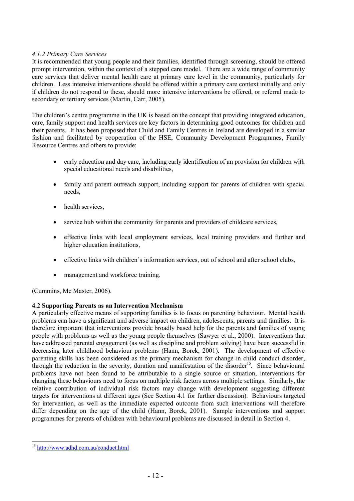# *4.1.2 Primary Care Services*

It is recommended that young people and their families, identified through screening, should be offered prompt intervention, within the context of a stepped care model. There are a wide range of community care services that deliver mental health care at primary care level in the community, particularly for children. Less intensive interventions should be offered within a primary care context initially and only if children do not respond to these, should more intensive interventions be offered, or referral made to secondary or tertiary services (Martin, Carr, 2005).

The children's centre programme in the UK is based on the concept that providing integrated education, care, family support and health services are key factors in determining good outcomes for children and their parents. It has been proposed that Child and Family Centres in Ireland are developed in a similar fashion and facilitated by cooperation of the HSE, Community Development Programmes, Family Resource Centres and others to provide:

- early education and day care, including early identification of an provision for children with special educational needs and disabilities,
- family and parent outreach support, including support for parents of children with special needs,
- health services
- · service hub within the community for parents and providers of childcare services,
- effective links with local employment services, local training providers and further and higher education institutions,
- · effective links with children's information services, out of school and after school clubs,
- management and workforce training.

(Cummins, Mc Master, 2006).

# **4.2 Supporting Parents as an Intervention Mechanism**

A particularly effective means of supporting families is to focus on parenting behaviour. Mental health problems can have a significant and adverse impact on children, adolescents, parents and families. It is therefore important that interventions provide broadly based help for the parents and families of young people with problems as well as the young people themselves (Sawyer et al., 2000). Interventions that have addressed parental engagement (as well as discipline and problem solving) have been successful in decreasing later childhood behaviour problems (Hann, Borek, 2001). The development of effective parenting skills has been considered as the primary mechanism for change in child conduct disorder, through the reduction in the severity, duration and manifestation of the disorder 15 . Since behavioural problems have not been found to be attributable to a single source or situation, interventions for changing these behaviours need to focus on multiple risk factors across multiple settings. Similarly, the relative contribution of individual risk factors may change with development suggesting different targets for interventions at different ages (See Section 4.1 for further discussion). Behaviours targeted for intervention, as well as the immediate expected outcome from such interventions will therefore differ depending on the age of the child (Hann, Borek, 2001). Sample interventions and support programmes for parents of children with behavioural problems are discussed in detail in Section 4.

<sup>15</sup> http://www.adhd.com.au/conduct.html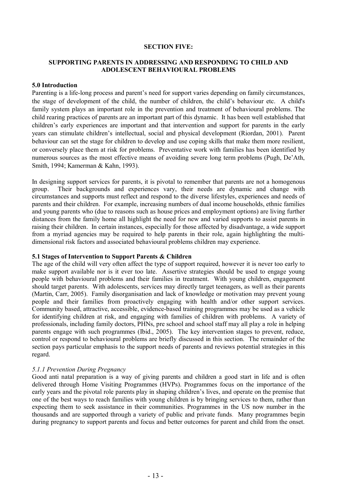#### **SECTION FIVE:**

#### **SUPPORTING PARENTS IN ADDRESSING AND RESPONDING TO CHILD AND ADOLESCENT BEHAVIOURAL PROBLEMS**

#### **5.0 Introduction**

Parenting is a life-long process and parent's need for support varies depending on family circumstances, the stage of development of the child, the number of children, the child's behaviour etc. A child's family system plays an important role in the prevention and treatment of behavioural problems. The child rearing practices of parents are an important part of this dynamic. It has been well established that children's early experiences are important and that intervention and support for parents in the early years can stimulate children's intellectual, social and physical development (Riordan, 2001). Parent behaviour can set the stage for children to develop and use coping skills that make them more resilient, or conversely place them at risk for problems. Preventative work with families has been identified by numerous sources as the most effective means of avoiding severe long term problems (Pugh, De'Ath, Smith, 1994; Kamerman & Kahn, 1993).

In designing support services for parents, it is pivotal to remember that parents are not a homogenous group. Their backgrounds and experiences vary, their needs are dynamic and change with circumstances and supports must reflect and respond to the diverse lifestyles, experiences and needs of parents and their children. For example, increasing numbers of dual income households, ethnic families and young parents who (due to reasons such as house prices and employment options) are living further distances from the family home all highlight the need for new and varied supports to assist parents in raising their children. In certain instances, especially for those affected by disadvantage, a wide support from a myriad agencies may be required to help parents in their role, again highlighting the multi dimensional risk factors and associated behavioural problems children may experience.

### **5.1 Stages of Intervention to Support Parents & Children**

The age of the child will very often affect the type of support required, however it is never too early to make support available nor is it ever too late. Assertive strategies should be used to engage young people with behavioural problems and their families in treatment. With young children, engagement should target parents. With adolescents, services may directly target teenagers, as well as their parents (Martin, Carr, 2005). Family disorganisation and lack of knowledge or motivation may prevent young people and their families from proactively engaging with health and/or other support services. Community based, attractive, accessible, evidence-based training programmes may be used as a vehicle for identifying children at risk, and engaging with families of children with problems. A variety of professionals, including family doctors, PHNs, pre school and school staff may all play a role in helping parents engage with such programmes (Ibid., 2005). The key intervention stages to prevent, reduce, control or respond to behavioural problems are briefly discussed in this section. The remainder of the section pays particular emphasis to the support needs of parents and reviews potential strategies in this regard.

#### *5.1.1 Prevention During Pregnancy*

Good anti natal preparation is a way of giving parents and children a good start in life and is often delivered through Home Visiting Programmes (HVPs). Programmes focus on the importance of the early years and the pivotal role parents play in shaping children's lives, and operate on the premise that one of the best ways to reach families with young children is by bringing services to them, rather than expecting them to seek assistance in their communities. Programmes in the US now number in the thousands and are supported through a variety of public and private funds. Many programmes begin during pregnancy to support parents and focus and better outcomes for parent and child from the onset.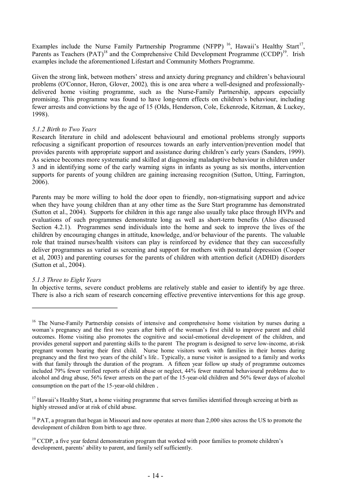Examples include the Nurse Family Partnership Programme (NFPP)  $^{16}$ , Hawaii's Healthy Start<sup>17</sup>, Parents as Teachers (PAT)<sup>18</sup> and the Comprehensive Child Development Programme (CCDP)<sup>19</sup>. Irish examples include the aforementioned Lifestart and Community Mothers Programme.

Given the strong link, between mothers' stress and anxiety during pregnancy and children's behavioural problems (O'Connor, Heron, Glover, 2002), this is one area where a well-designed and professionallydelivered home visiting programme, such as the Nurse-Family Partnership, appears especially promising. This programme was found to have long-term effects on children's behaviour, including fewer arrests and convictions by the age of 15 (Olds, Henderson, Cole, Eckenrode, Kitzman, & Luckey, 1998).

### *5.1.2 Birth to Two Years*

Research literature in child and adolescent behavioural and emotional problems strongly supports refocusing a significant proportion of resources towards an early intervention/prevention model that provides parents with appropriate support and assistance during children's early years (Sanders, 1999). As science becomes more systematic and skilled at diagnosing maladaptive behaviour in children under 3 and in identifying some of the early warning signs in infants as young as six months, intervention supports for parents of young children are gaining increasing recognition (Sutton, Utting, Farrington, 2006).

Parents may be more willing to hold the door open to friendly, non-stigmatising support and advice when they have young children than at any other time as the Sure Start programme has demonstrated (Sutton et al., 2004). Supports for children in this age range also usually take place through HVPs and evaluations of such programmes demonstrate long as well as short-term benefits (Also discussed Section 4.2.1). Programmes send individuals into the home and seek to improve the lives of the children by encouraging changes in attitude, knowledge, and/or behaviour of the parents. The valuable role that trained nurses/health visitors can play is reinforced by evidence that they can successfully deliver programmes as varied as screening and support for mothers with postnatal depression (Cooper et al, 2003) and parenting courses for the parents of children with attention deficit (ADHD) disorders (Sutton et al., 2004).

# *5.1.3 Three to Eight Years*

In objective terms, severe conduct problems are relatively stable and easier to identify by age three. There is also a rich seam of research concerning effective preventive interventions for this age group.

<sup>&</sup>lt;sup>16</sup> The Nurse-Family Partnership consists of intensive and comprehensive home visitation by nurses during a woman's pregnancy and the first two years after birth of the woman's first child to improve parent and child outcomes. Home visiting also promotes the cognitive and socialemotional development of the children, and provides general support and parenting skills to the parent The program is designed to serve lowincome, atrisk pregnant women bearing their first child. Nurse home visitors work with families in their homes during pregnancy and the first two years of the child's life.. Typically, a nurse visitor is assigned to a family and works with that family through the duration of the program. A fifteen year follow up study of programme outcomes included 79% fewer verified reports of child abuse or neglect, 44% fewer maternal behavioural problems due to alcohol and drug abuse, 56% fewer arrests on the part of the 15-year-old children and 56% fewer days of alcohol consumption on the part of the 15-year-old children.

<sup>&</sup>lt;sup>17</sup> Hawaii's Healthy Start, a home visiting programme that serves families identified through screeing at birth as highly stressed and/or at risk of child abuse.

<sup>&</sup>lt;sup>18</sup> PAT, a program that began in Missouri and now operates at more than 2,000 sites across the US to promote the development of children from birth to age three.

 $19$  CCDP, a five year federal demonstration program that worked with poor families to promote children's development, parents' ability to parent, and family self sufficiently.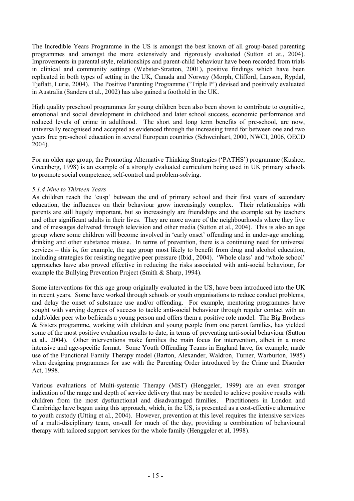The Incredible Years Programme in the US is amongst the best known of all group-based parenting programmes and amongst the more extensively and rigorously evaluated (Sutton et at., 2004). Improvements in parental style, relationships and parent-child behaviour have been recorded from trials in clinical and community settings (Webster-Stratton, 2001), positive findings which have been replicated in both types of setting in the UK, Canada and Norway (Morph, Clifford, Larsson, Rypdal, Tjeflatt, Lurie, 2004). The Positive Parenting Programme ('Triple P') devised and positively evaluated in Australia (Sanders et al., 2002) has also gained a foothold in the UK.

High quality preschool programmes for young children been also been shown to contribute to cognitive, emotional and social development in childhood and later school success, economic performance and reduced levels of crime in adulthood. The short and long term benefits of pre-school, are now. universally recognised and accepted as evidenced through the increasing trend for between one and two years free preschool education in several European countries (Schweinhart, 2000, NWCI, 2006, OECD 2004).

For an older age group, the Promoting Alternative Thinking Strategies ('PATHS') programme (Kushce, Greenberg, 1998) is an example of a strongly evaluated curriculum being used in UK primary schools to promote social competence, self-control and problem-solving.

### *5.1.4 Nine to Thirteen Years*

As children reach the 'cusp' between the end of primary school and their first years of secondary education, the influences on their behaviour grow increasingly complex. Their relationships with parents are still hugely important, but so increasingly are friendships and the example set by teachers and other significant adults in their lives. They are more aware of the neighbourhoods where they live and of messages delivered through television and other media (Sutton et al., 2004). This is also an age group where some children will become involved in 'early onset' offending and in under-age smoking, drinking and other substance misuse. In terms of prevention, there is a continuing need for universal services – this is, for example, the age group most likely to benefit from drug and alcohol education, including strategies for resisting negative peer pressure (Ibid., 2004). 'Whole class' and 'whole school' approaches have also proved effective in reducing the risks associated with anti-social behaviour, for example the Bullying Prevention Project (Smith & Sharp, 1994).

Some interventions for this age group originally evaluated in the US, have been introduced into the UK in recent years. Some have worked through schools or youth organisations to reduce conduct problems, and delay the onset of substance use and/or offending. For example, mentoring programmes have sought with varying degrees of success to tackle anti-social behaviour through regular contact with an adult/older peer who befriends a young person and offers them a positive role model. The Big Brothers & Sisters programme, working with children and young people from one parent families, has yielded some of the most positive evaluation results to date, in terms of preventing anti-social behaviour (Sutton et al., 2004). Other interventions make families the main focus for intervention, albeit in a more intensive and age-specific format. Some Youth Offending Teams in England have, for example, made use of the Functional Family Therapy model (Barton, Alexander, Waldron, Turner, Warburton, 1985) when designing programmes for use with the Parenting Order introduced by the Crime and Disorder Act, 1998.

Various evaluations of Multisystemic Therapy (MST) (Henggeler, 1999) are an even stronger indication of the range and depth of service delivery that may be needed to achieve positive results with children from the most dysfunctional and disadvantaged families. Practitioners in London and Cambridge have begun using this approach, which, in the US, is presented as a cost-effective alternative to youth custody (Utting et al., 2004). However, prevention at this level requires the intensive services of a multi-disciplinary team, on-call for much of the day, providing a combination of behavioural therapy with tailored support services for the whole family (Henggeler et al, 1998).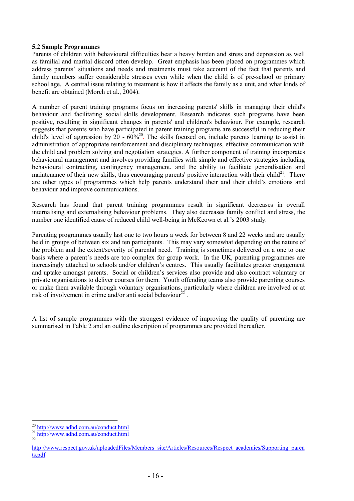#### **5.2 Sample Programmes**

Parents of children with behavioural difficulties bear a heavy burden and stress and depression as well as familial and marital discord often develop. Great emphasis has been placed on programmes which address parents' situations and needs and treatments must take account of the fact that parents and family members suffer considerable stresses even while when the child is of pre-school or primary school age. A central issue relating to treatment is how it affects the family as a unit, and what kinds of benefit are obtained (Morch et al., 2004).

A number of parent training programs focus on increasing parents' skills in managing their child's behaviour and facilitating social skills development. Research indicates such programs have been positive, resulting in significant changes in parents' and children's behaviour. For example, research suggests that parents who have participated in parent training programs are successful in reducing their child's level of aggression by  $20 - 60\%^{20}$ . The skills focused on, include parents learning to assist in administration of appropriate reinforcement and disciplinary techniques, effective communication with the child and problem solving and negotiation strategies. A further component of training incorporates behavioural management and involves providing families with simple and effective strategies including behavioural contracting, contingency management, and the ability to facilitate generalisation and maintenance of their new skills, thus encouraging parents' positive interaction with their child $^{21}$ . There are other types of programmes which help parents understand their and their child's emotions and behaviour and improve communications.

Research has found that parent training programmes result in significant decreases in overall internalising and externalising behaviour problems. They also decreases family conflict and stress, the number one identified cause of reduced child well-being in McKeown et al.'s 2003 study.

Parenting programmes usually last one to two hours a week for between 8 and 22 weeks and are usually held in groups of between six and ten participants. This may vary somewhat depending on the nature of the problem and the extent/severity of parental need. Training is sometimes delivered on a one to one basis where a parent's needs are too complex for group work. In the UK, parenting programmes are increasingly attached to schools and/or children's centres. This usually facilitates greater engagement and uptake amongst parents. Social or children's services also provide and also contract voluntary or private organisations to deliver courses for them. Youth offending teams also provide parenting courses or make them available through voluntary organisations, particularly where children are involved or at risk of involvement in crime and/or anti social behaviour $^{22}$ .

A list of sample programmes with the strongest evidence of improving the quality of parenting are summarised in Table 2 and an outline description of programmes are provided thereafter.

 $\frac{20 \text{ http://www.addhd.com.au/content.html}}{21 \text{ http://www.addhd.com.au/content.html}}$ 

http://www.respect.gov.uk/uploadedFiles/Members\_site/Articles/Resources/Respect\_academies/Supporting\_paren ts.pdf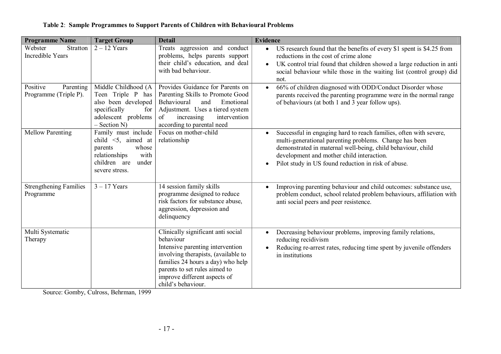|  |  |  |  | Table 2: Sample Programmes to Support Parents of Children with Behavioural Problems |
|--|--|--|--|-------------------------------------------------------------------------------------|
|--|--|--|--|-------------------------------------------------------------------------------------|

| <b>Programme Name</b>                          | <b>Target Group</b>                                                                                                                     | <b>Detail</b>                                                                                                                                                                                                                                          | <b>Evidence</b>                                                                                                                                                                                                                                                                                                          |
|------------------------------------------------|-----------------------------------------------------------------------------------------------------------------------------------------|--------------------------------------------------------------------------------------------------------------------------------------------------------------------------------------------------------------------------------------------------------|--------------------------------------------------------------------------------------------------------------------------------------------------------------------------------------------------------------------------------------------------------------------------------------------------------------------------|
| Webster<br>Stratton<br><b>Incredible Years</b> | $2 - 12$ Years                                                                                                                          | Treats aggression and conduct<br>problems, helps parents support<br>their child's education, and deal<br>with bad behaviour.                                                                                                                           | US research found that the benefits of every \$1 spent is \$4.25 from<br>$\bullet$<br>reductions in the cost of crime alone<br>UK control trial found that children showed a large reduction in anti<br>$\bullet$<br>social behaviour while those in the waiting list (control group) did<br>not.                        |
| Positive<br>Parenting<br>Programme (Triple P). | Middle Childhood (A<br>Teen Triple P has<br>also been developed<br>specifically<br>for<br>adolescent problems<br>$-$ Section N)         | Provides Guidance for Parents on<br>Parenting Skills to Promote Good<br>Behavioural<br>and<br>Emotional<br>Adjustment. Uses a tiered system<br>of<br>increasing<br>intervention<br>according to parental need                                          | 66% of children diagnosed with ODD/Conduct Disorder whose<br>$\bullet$<br>parents received the parenting programme were in the normal range<br>of behaviours (at both 1 and 3 year follow ups).                                                                                                                          |
| <b>Mellow Parenting</b>                        | Family must include<br>child $\leq$ 5, aimed at<br>whose<br>parents<br>relationships<br>with<br>children are<br>under<br>severe stress. | Focus on mother-child<br>relationship                                                                                                                                                                                                                  | Successful in engaging hard to reach families, often with severe,<br>$\bullet$<br>multi-generational parenting problems. Change has been<br>demonstrated in maternal well-being, child behaviour, child<br>development and mother child interaction.<br>Pilot study in US found reduction in risk of abuse.<br>$\bullet$ |
| <b>Strengthening Families</b><br>Programme     | $3 - 17$ Years                                                                                                                          | 14 session family skills<br>programme designed to reduce<br>risk factors for substance abuse,<br>aggression, depression and<br>delinquency                                                                                                             | Improving parenting behaviour and child outcomes: substance use,<br>$\bullet$<br>problem conduct, school related problem behaviours, affiliation with<br>anti social peers and peer resistence.                                                                                                                          |
| Multi Systematic<br>Therapy                    |                                                                                                                                         | Clinically significant anti social<br>behaviour<br>Intensive parenting intervention<br>involving therapists, (available to<br>families 24 hours a day) who help<br>parents to set rules aimed to<br>improve different aspects of<br>child's behaviour. | Decreasing behaviour problems, improving family relations,<br>$\bullet$<br>reducing recidivism<br>Reducing re-arrest rates, reducing time spent by juvenile offenders<br>in institutions                                                                                                                                 |

Source: Gomby, Culross, Behrman, 1999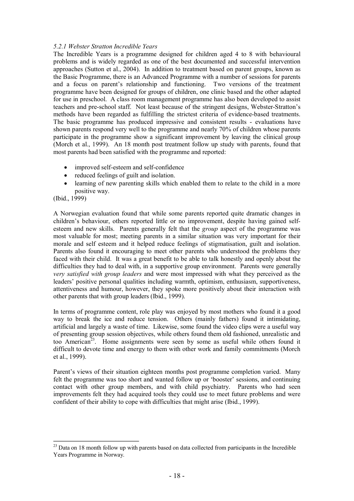#### *5.2.1 Webster Stratton Incredible Years*

The Incredible Years is a programme designed for children aged 4 to 8 with behavioural problems and is widely regarded as one of the best documented and successful intervention approaches (Sutton et al., 2004). In addition to treatment based on parent groups, known as the Basic Programme, there is an Advanced Programme with a number of sessions for parents and a focus on parent's relationship and functioning. Two versions of the treatment programme have been designed for groups of children, one clinic based and the other adapted for use in preschool. A class room management programme has also been developed to assist teachers and preschool staff. Not least because of the stringent designs, WebsterStratton's methods have been regarded as fulfilling the strictest criteria of evidencebased treatments. The basic programme has produced impressive and consistent results - evaluations have shown parents respond very well to the programme and nearly 70% of children whose parents participate in the programme show a significant improvement by leaving the clinical group (Morch et al., 1999). An 18 month post treatment follow up study with parents, found that most parents had been satisfied with the programme and reported:

- improved self-esteem and self-confidence
- reduced feelings of guilt and isolation.
- learning of new parenting skills which enabled them to relate to the child in a more positive way.

(Ibid., 1999)

A Norwegian evaluation found that while some parents reported quite dramatic changes in children's behaviour, others reported little or no improvement, despite having gained self esteem and new skills. Parents generally felt that the *group* aspect of the programme was most valuable for most; meeting parents in a similar situation was very important for their morale and self esteem and it helped reduce feelings of stigmatisation, guilt and isolation. Parents also found it encouraging to meet other parents who understood the problems they faced with their child. It was a great benefit to be able to talk honestly and openly about the difficulties they had to deal with, in a supportive group environment. Parents were generally *very satisfied with group leaders* and were most impressed with what they perceived as the leaders' positive personal qualities including warmth, optimism, enthusiasm, supportiveness, attentiveness and humour, however, they spoke more positively about their interaction with other parents that with group leaders (Ibid., 1999).

In terms of programme content, role play was enjoyed by most mothers who found it a good way to break the ice and reduce tension. Others (mainly fathers) found it intimidating, artificial and largely a waste of time. Likewise, some found the video clips were a useful way of presenting group session objectives, while others found them old fashioned, unrealistic and too American<sup>23</sup>. Home assignments were seen by some as useful while others found it difficult to devote time and energy to them with other work and family commitments (Morch et al., 1999).

Parent's views of their situation eighteen months post programme completion varied. Many felt the programme was too short and wanted follow up or 'booster' sessions, and continuing contact with other group members, and with child psychiatry. Parents who had seen improvements felt they had acquired tools they could use to meet future problems and were confident of their ability to cope with difficulties that might arise (Ibid., 1999).

<sup>&</sup>lt;sup>23</sup> Data on 18 month follow up with parents based on data collected from participants in the Incredible Years Programme in Norway.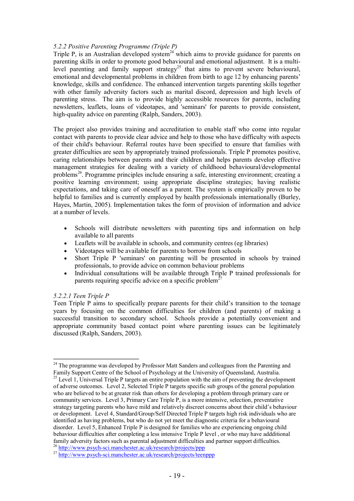# *5.2.2 Positive Parenting Programme (Triple P)*

Triple P, is an Australian developed system<sup>24</sup> which aims to provide guidance for parents on parenting skills in order to promote good behavioural and emotional adjustment. It is a multilevel parenting and family support strategy<sup>25</sup> that aims to prevent severe behavioural, emotional and developmental problems in children from birth to age 12 by enhancing parents' knowledge, skills and confidence. The enhanced intervention targets parenting skills together with other family adversity factors such as marital discord, depression and high levels of parenting stress. The aim is to provide highly accessible resources for parents, including newsletters, leaflets, loans of videotapes, and 'seminars' for parents to provide consistent, high-quality advice on parenting (Ralph, Sanders, 2003).

The project also provides training and accreditation to enable staff who come into regular contact with parents to provide clear advice and help to those who have difficulty with aspects of their child's behaviour. Referral routes have been specified to ensure that families with greater difficulties are seen by appropriately trained professionals. Triple P promotes positive, caring relationships between parents and their children and helps parents develop effective management strategies for dealing with a variety of childhood behavioural/developmental problems<sup>26</sup>. Programme principles include ensuring a safe, interesting environment; creating a positive learning environment; using appropriate discipline strategies; having realistic expectations, and taking care of oneself as a parent. The system is empirically proven to be helpful to families and is currently employed by health professionals internationally (Burley, Hayes, Martin, 2005). Implementation takes the form of provision of information and advice at a number of levels.

- · Schools will distribute newsletters with parenting tips and information on help available to all parents
- Leaflets will be available in schools, and community centres (eg libraries)
- Videotapes will be available for parents to borrow from schools
- Short Triple P 'seminars' on parenting will be presented in schools by trained professionals, to provide advice on common behaviour problems
- Individual consultations will be available through Triple P trained professionals for parents requiring specific advice on a specific problem<sup>2</sup>

#### *5.2.2.1 Teen Triple P*

Teen Triple P aims to specifically prepare parents for their child's transition to the teenage years by focusing on the common difficulties for children (and parents) of making a successful transition to secondary school. Schools provide a potentially convenient and appropriate community based contact point where parenting issues can be legitimately discussed (Ralph, Sanders, 2003).

 $24$  The programme was developed by Professor Matt Sanders and colleagues from the Parenting and Family Support Centre of the School of Psychology at the University of Queensland, Australia.

 $\frac{25}{25}$  Level 1, Universal Triple P targets an entire population with the aim of preventing the development of adverse outcomes. Level 2, Selected Triple P targets specific sub groups of the general population who are believed to be at greater risk than others for developing a problem through primary care or community services. Level 3, Primary Care Triple P, is a more intensive, selection, preventative strategy targeting parents who have mild and relatively discreet concerns about their child's behaviour or development. Level 4, Standard/Group/Self Directed Triple P targets high risk individuals who are identified as having problems, but who do not yet meet the diagnostic criteria for a behavioural disorder. Level 5, Enhanced Triple P is designed for families who are experiencing ongoing child behaviour difficulties after completing a less intensive Triple P level , or who may have addditional family adversity factors such as parental adjustment difficulties and partner support difficulties.<br>  $^{26}$  http://www.psych-sci.manchester.ac.uk/research/projects/ppp<br>  $^{27}$  http://www.psych-sci.manchester.ac.uk/researc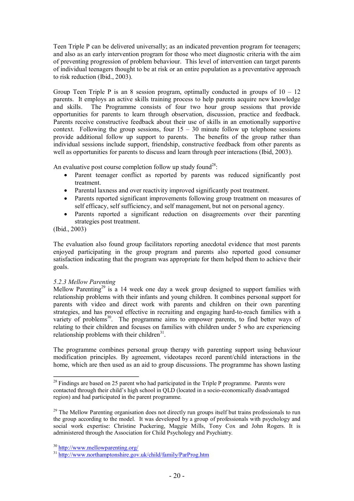Teen Triple P can be delivered universally; as an indicated prevention program forteenagers; and also as an early intervention program for those who meet diagnostic criteria with the aim of preventing progression of problem behaviour. This level of intervention can target parents of individual teenagers thought to be at risk or an entire population as a preventative approach to risk reduction (Ibid., 2003).

Group Teen Triple P is an 8 session program, optimally conducted in groups of  $10 - 12$ parents. It employs an active skills training process to help parents acquire new knowledge and skills. The Programme consists of four two hour group sessions that provide opportunities for parents to learn through observation, discussion, practice and feedback. Parents receive constructive feedback about their use of skills in an emotionally supportive context. Following the group sessions, four  $15 - 30$  minute follow up telephone sessions provide additional follow up support to parents. The benefits of the group rather than individual sessions include support, friendship, constructive feedback from other parents as well as opportunities for parents to discuss and learn through peer interactions (Ibid, 2003).

An evaluative post course completion follow up study found<sup>28</sup>:

- Parent teenager conflict as reported by parents was reduced significantly post treatment.
- · Parental laxness and over reactivity improved significantly post treatment.
- Parents reported significant improvements following group treatment on measures of self efficacy, self sufficiency, and self management, but not on personal agency.
- Parents reported a significant reduction on disagreements over their parenting strategies post treatment.

(Ibid., 2003)

The evaluation also found group facilitators reporting anecdotal evidence that most parents enjoyed participating in the group program and parents also reported good consumer satisfaction indicating that the program was appropriate for them helped them to achieve their goals.

#### *5.2.3 Mellow Parenting*

Mellow Parenting<sup>29</sup> is a 14 week one day a week group designed to support families with relationship problems with their infants and young children. It combines personal support for parents with video and direct work with parents and children on their own parenting strategies, and has proved effective in recruiting and engaging hard-to-reach families with a variety of problems<sup>30</sup>. The programme aims to empower parents, to find better ways of relating to their children and focuses on families with children under 5 who are experiencing relationship problems with their children<sup>31</sup>.

The programme combines personal group therapy with parenting support using behaviour modification principles. By agreement, videotapes record parent/child interactions in the home, which are then used as an aid to group discussions. The programme has shown lasting

 $28$  Findings are based on 25 parent who had participated in the Triple P programme. Parents were contacted through their child's high school in QLD (located in a socio-economically disadvantaged region) and had participated in the parent programme.

 $29$  The Mellow Parenting organisation does not directly run groups itself but trains professionals to run the group according to the model. It was developed by a group of professionals with psychology and social work expertise: Christine Puckering, Maggie Mills, Tony Cox and John Rogers. It is administered through the Association for Child Psychology and Psychiatry.

<sup>30</sup> http://www.mellowparenting.org/

<sup>31</sup> http://www.northamptonshire.gov.uk/child/family/ParProg.htm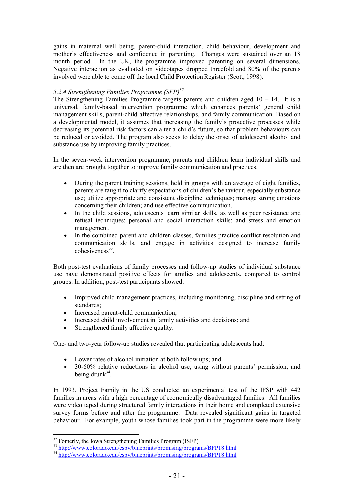gains in maternal well being, parent-child interaction, child behaviour, development and mother's effectiveness and confidence in parenting. Changes were sustained over an 18 month period. In the UK, the programme improved parenting on several dimensions. Negative interaction as evaluated on videotapes dropped threefold and 80% of the parents involved were able to come off the local Child Protection Register (Scott, 1998).

# *5.2.4 Strengthening Families Programme (SFP) 32*

The Strengthening Families Programme targets parents and children aged  $10 - 14$ . It is a universal, family-based intervention programme which enhances parents' general child management skills, parent-child affective relationships, and family communication. Based on a developmental model, it assumes that increasing the family's protective processes while decreasing its potential risk factors can alter a child's future, so that problem behaviours can be reduced or avoided. The program also seeks to delay the onset of adolescent alcohol and substance use by improving family practices.

In the seven-week intervention programme, parents and children learn individual skills and are then are brought together to improve family communication and practices.

- · During the parent training sessions, held in groups with an average of eight families, parents are taught to clarify expectations of children's behaviour, especially substance use; utilize appropriate and consistent discipline techniques; manage strong emotions concerning their children; and use effective communication.
- · In the child sessions, adolescents learn similar skills, as well as peer resistance and refusal techniques; personal and social interaction skills; and stress and emotion management.
- · In the combined parent and children classes, families practice conflict resolution and communication skills, and engage in activities designed to increase family cohesiveness<sup>33</sup>.

Both post-test evaluations of family processes and follow-up studies of individual substance use have demonstrated positive effects for amilies and adolescents, compared to control groups. In addition, post-test participants showed:

- · Improved child management practices, including monitoring, discipline and setting of standards;
- Increased parent-child communication;
- Increased child involvement in family activities and decisions; and
- Strengthened family affective quality.

One- and two-year follow-up studies revealed that participating adolescents had:

- · Lower rates of alcohol initiation at both follow ups; and
- · 3060% relative reductions in alcohol use, using without parents' permission, and being drunk $34$ .

In 1993, Project Family in the US conducted an experimental test of the IFSP with 442 families in areas with a high percentage of economically disadvantaged families. All families were video taped during structured family interactions in their home and completed extensive survey forms before and after the programme. Data revealed significant gains in targeted behaviour. For example, youth whose families took part in the programme were more likely

<sup>&</sup>lt;sup>32</sup> Fomerly, the Iowa Strengthening Families Program (ISFP)

<sup>&</sup>lt;sup>33</sup> http://www.colorado.edu/cspv/blueprints/promising/programs/BPP18.html

<sup>&</sup>lt;sup>34</sup> http://www.colorado.edu/cspv/blueprints/promising/programs/BPP18.html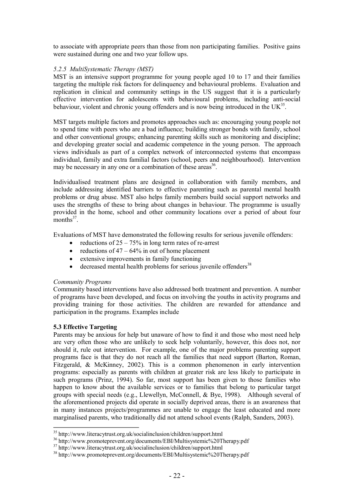to associate with appropriate peers than those from non participating families. Positive gains were sustained during one and two year follow ups.

#### *5.2.5 MultiSystematic Therapy (MST)*

MST is an intensive support programme for young people aged 10 to 17 and their families targeting the multiple risk factors for delinquency and behavioural problems. Evaluation and replication in clinical and community settings in the US suggest that it is a particularly effective intervention for adolescents with behavioural problems, including antisocial behaviour, violent and chronic young offenders and is now being introduced in the  $UK<sup>35</sup>$ .

MST targets multiple factors and promotes approaches such as: encouraging young people not to spend time with peers who are a bad influence; building stronger bonds with family, school and other conventional groups; enhancing parenting skills such as monitoring and discipline; and developing greater social and academic competence in the young person. The approach views individuals as part of a complex network of interconnected systems that encompass individual, family and extra familial factors (school, peers and neighbourhood). Intervention may be necessary in any one or a combination of these areas<sup>36</sup>.

Individualised treatment plans are designed in collaboration with family members, and include addressing identified barriers to effective parenting such as parental mental health problems or drug abuse. MST also helps family members build social support networks and uses the strengths of these to bring about changes in behaviour. The programme is usually provided in the home, school and other community locations over a period of about four months $37$ .

Evaluations of MST have demonstrated the following results for serious juvenile offenders:

- reductions of  $25 75\%$  in long term rates of re-arrest
- reductions of  $47 64\%$  in out of home placement
- extensive improvements in family functioning
- decreased mental health problems for serious juvenile offenders<sup>38</sup>

#### *Community Programs*

Community based interventions have also addressed both treatment and prevention. A number of programs have been developed, and focus on involving the youths in activity programs and providing training for those activities. The children are rewarded for attendance and participation in the programs. Examples include

#### **5.3 Effective Targeting**

Parents may be anxious for help but unaware of how to find it and those who most need help are very often those who are unlikely to seek help voluntarily, however, this does not, nor should it, rule out intervention. For example, one of the major problems parenting support programs face is that they do not reach all the families that need support (Barton, Roman, Fitzgerald, & McKinney, 2002). This is a common phenomenon in early intervention programs: especially as parents with children at greater risk are less likely to participate in such programs (Prinz, 1994). So far, most support has been given to those families who happen to know about the available services or to families that belong to particular target groups with special needs (e.g., Llewellyn, McConnell, & Bye, 1998). Although several of the aforementioned projects did operate in socially deprived areas, there is an awareness that in many instances projects/programmes are unable to engage the least educated and more marginalised parents, who traditionally did not attend school events (Ralph, Sanders, 2003).

<sup>35</sup> http://www.literacytrust.org.uk/socialinclusion/children/support.html

<sup>36</sup> http://www.promoteprevent.org/documents/EBI/Multisystemic%20Therapy.pdf

<sup>37</sup> http://www.literacytrust.org.uk/socialinclusion/children/support.html

<sup>38</sup> http://www.promoteprevent.org/documents/EBI/Multisystemic%20Therapy.pdf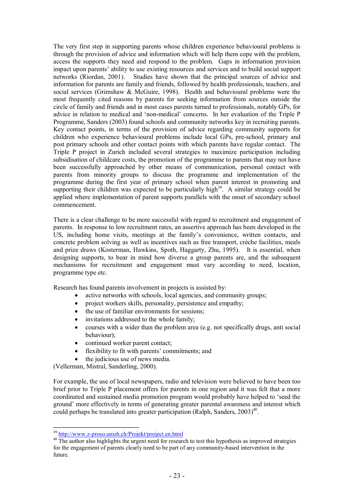The very first step in supporting parents whose children experience behavioural problems is through the provision of advice and information which will help them cope with the problem, access the supports they need and respond to the problem. Gaps in information provision impact upon parents' ability to use existing resources and services and to build social support networks (Riordan, 2001). Studies have shown that the principal sources of advice and information for parents are family and friends, followed by health professionals, teachers, and social services (Grimshaw & McGuire, 1998). Health and behavioural problems were the most frequently cited reasons by parents for seeking information from sources outside the circle of family and friends and in most cases parents turned to professionals, notably GPs, for advice in relation to medical and 'non-medical' concerns. In her evaluation of the Triple P Programme, Sanders (2003) found schools and community networks key in recruiting parents. Key contact points, in terms of the provision of advice regarding community supports for children who experience behavioural problems include local GPs, preschool, primary and post primary schools and other contact points with which parents have regular contact. The Triple P project in Zurich included several strategies to maximize participation including subsidisation of childcare costs, the promotion of the programme to parents that may not have been successfully approached by other means of communication, personal contact with parents from minority groups to discuss the programme and implementation of the programme during the first year of primary school when parent interest in promoting and supporting their children was expected to be particularly high<sup>39</sup>. A similar strategy could be applied where implementation of parent supports parallels with the onset of secondary school commencement.

There is a clear challenge to be more successful with regard to recruitment and engagement of parents. In response to low recruitment rates, an assertive approach has been developed in the US, including home visits, meetings at the family's convenience, written contacts, and concrete problem solving as well as incentives such as free transport, crèche facilities, meals and prize draws (Kosterman, Hawkins, Spoth, Haggarty, Zhu, 1995). It is essential, when designing supports, to bear in mind how diverse a group parents are, and the subsequent mechanisms for recruitment and engagement must vary according to need, location, programme type etc.

Research has found parents involvement in projects is assisted by:

- active networks with schools, local agencies, and community groups;
- project workers skills, personality, persistence and empathy;
- the use of familiar environments for sessions;
- invitations addressed to the whole family;
- · courses with a wider than the problem area (e.g. not specifically drugs, anti social behaviour);
- continued worker parent contact;
- flexibility to fit with parents' commitments; and
- the judicious use of news media.

(Vellerman, Mistral, Sanderling, 2000).

For example, the use of local newspapers, radio and television were believed to have been too brief prior to Triple P placement offers for parents in one region and it was felt that a more coordinated and sustained media promotion program would probably have helped to 'seed the ground' more effectively in terms of generating greater parental awareness and interest which could perhaps be translated into greater participation (Ralph, Sanders, 2003) 40 .

 $\frac{39 \text{ http://www.z-proso.unizh.ch/Project/en.html}}{10 \text{ The author also highlights the urgent need for research to test this hypothesis as improved strategies}}$ for the engagement of parents clearly need to be part of any community-based intervention in the future.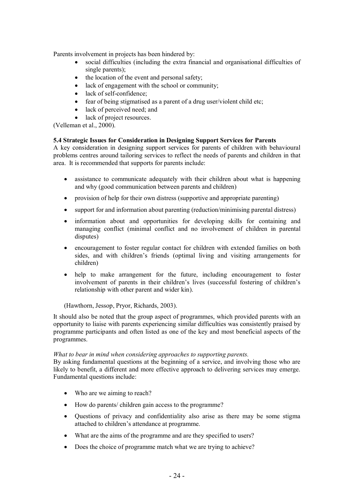Parents involvement in projects has been hindered by:

- · social difficulties (including the extra financial and organisational difficulties of single parents);
- the location of the event and personal safety;
- lack of engagement with the school or community;
- $\bullet$  lack of self-confidence;
- fear of being stigmatised as a parent of a drug user/violent child etc;
- lack of perceived need; and
- lack of project resources.

(Velleman et al., 2000).

#### **5.4 Strategic Issues for Consideration in Designing Support Services for Parents**

A key consideration in designing support services for parents of children with behavioural problems centres around tailoring services to reflect the needs of parents and children in that area. It is recommended that supports for parents include:

- assistance to communicate adequately with their children about what is happening and why (good communication between parents and children)
- provision of help for their own distress (supportive and appropriate parenting)
- · support for and information about parenting (reduction/minimising parental distress)
- · information about and opportunities for developing skills for containing and managing conflict (minimal conflict and no involvement of children in parental disputes)
- · encouragement to foster regular contact for children with extended families on both sides, and with children's friends (optimal living and visiting arrangements for children)
- help to make arrangement for the future, including encouragement to foster involvement of parents in their children's lives (successful fostering of children's relationship with other parent and wider kin).

(Hawthorn, Jessop, Pryor, Richards, 2003).

It should also be noted that the group aspect of programmes, which provided parents with an opportunity to liaise with parents experiencing similar difficulties was consistently praised by programme participants and often listed as one of the key and most beneficial aspects of the programmes.

#### *What to bear in mind when considering approaches to supporting parents.*

By asking fundamental questions at the beginning of a service, and involving those who are likely to benefit, a different and more effective approach to delivering services may emerge. Fundamental questions include:

- Who are we aiming to reach?
- · How do parents/ children gain access to the programme?
- · Questions of privacy and confidentiality also arise as there may be some stigma attached to children's attendance at programme.
- What are the aims of the programme and are they specified to users?
- Does the choice of programme match what we are trying to achieve?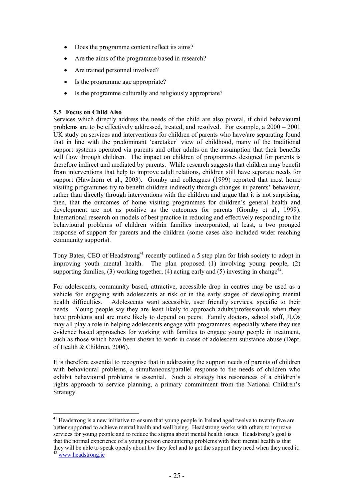- Does the programme content reflect its aims?
- Are the aims of the programme based in research?
- Are trained personnel involved?
- Is the programme age appropriate?
- Is the programme culturally and religiously appropriate?

# **5.5 Focus on Child Also**

Services which directly address the needs of the child are also pivotal, if child behavioural problems are to be effectively addressed, treated, and resolved. For example, a 2000 – 2001 UK study on services and interventions for children of parents who have/are separating found that in line with the predominant 'caretaker' view of childhood, many of the traditional support systems operated via parents and other adults on the assumption that their benefits will flow through children. The impact on children of programmes designed for parents is therefore indirect and mediated by parents. While research suggests that children may benefit from interventions that help to improve adult relations, children still have separate needs for support (Hawthorn et al., 2003). Gomby and colleagues (1999) reported that most home visiting programmes try to benefit children indirectly through changes in parents' behaviour, rather than directly through interventions with the children and argue that it is not surprising, then, that the outcomes of home visiting programmes for children's general health and development are not as positive as the outcomes for parents (Gomby et al., 1999). International research on models of best practice in reducing and effectively responding to the behavioural problems of children within families incorporated, at least, a two pronged response of support for parents and the children (some cases also included wider reaching community supports).

Tony Bates, CEO of Headstrong<sup>41</sup> recently outlined a 5 step plan for Irish society to adopt in improving youth mental health. The plan proposed (1) involving young people, (2) supporting families, (3) working together, (4) acting early and (5) investing in change<sup>42</sup>.

For adolescents, community based, attractive, accessible drop in centres may be used as a vehicle for engaging with adolescents at risk or in the early stages of developing mental health difficulties. Adolescents want accessible, user friendly services, specific to their needs. Young people say they are least likely to approach adults/professionals when they have problems and are more likely to depend on peers. Family doctors, school staff, JLOs may all play a role in helping adolescents engage with programmes, especially where they use evidence based approaches for working with families to engage young people in treatment, such as those which have been shown to work in cases of adolescent substance abuse (Dept. of Health & Children, 2006).

It is therefore essential to recognise that in addressing the support needs of parents of children with behavioural problems, a simultaneous/parallel response to the needs of children who exhibit behavioural problems is essential. Such a strategy has resonances of a children's rights approach to service planning, a primary commitment from the National Children's Strategy.

<sup>&</sup>lt;sup>41</sup> Headstrong is a new initiative to ensure that young people in Ireland aged twelve to twenty five are better supported to achieve mental health and well being. Headstrong works with others to improve services for young people and to reduce the stigma about mental health issues. Headstrong's goal is that the normal experience of a young person encountering problems with their mental health is that they will be able to speak openly about hw they feel and to get the support they need when they need it.<br><sup>42</sup> www.headstrong.ie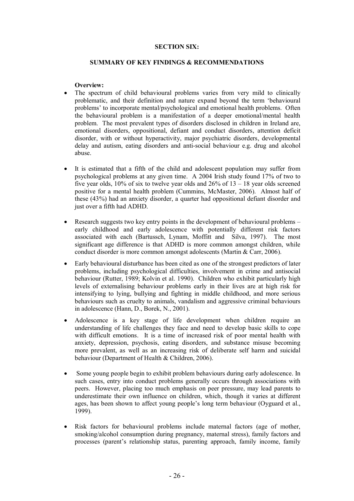#### **SECTION SIX:**

#### **SUMMARY OF KEY FINDINGS & RECOMMENDATIONS**

#### **Overview:**

- The spectrum of child behavioural problems varies from very mild to clinically problematic, and their definition and nature expand beyond the term 'behavioural problems' to incorporate mental/psychological and emotional health problems. Often the behavioural problem is a manifestation of a deeper emotional/mental health problem. The most prevalent types of disorders disclosed in children in Ireland are, emotional disorders, oppositional, defiant and conduct disorders, attention deficit disorder, with or without hyperactivity, major psychiatric disorders, developmental delay and autism, eating disorders and antisocial behaviour e.g. drug and alcohol abuse.
- It is estimated that a fifth of the child and adolescent population may suffer from psychological problems at any given time. A 2004 Irish study found 17% of two to five year olds,  $10\%$  of six to twelve year olds and  $26\%$  of  $13 - 18$  year olds screened positive for a mental health problem (Cummins, McMaster, 2006). Almost half of these (43%) had an anxiety disorder, a quarter had oppositional defiant disorder and just over a fifth had ADHD.
- Research suggests two key entry points in the development of behavioural problems early childhood and early adolescence with potentially different risk factors associated with each (Bartussch, Lynam, Moffitt and Silva, 1997). The most significant age difference is that ADHD is more common amongst children, while conduct disorder is more common amongst adolescents (Martin & Carr, 2006).
- Early behavioural disturbance has been cited as one of the strongest predictors of later problems, including psychological difficulties, involvement in crime and antisocial behaviour (Rutter, 1989; Kolvin et al. 1990). Children who exhibit particularly high levels of externalising behaviour problems early in their lives are at high risk for intensifying to lying, bullying and fighting in middle childhood, and more serious behaviours such as cruelty to animals, vandalism and aggressive criminal behaviours in adolescence (Hann, D., Borek, N., 2001).
- Adolescence is a key stage of life development when children require an understanding of life challenges they face and need to develop basic skills to cope with difficult emotions. It is a time of increased risk of poor mental health with anxiety, depression, psychosis, eating disorders, and substance misuse becoming more prevalent, as well as an increasing risk of deliberate self harm and suicidal behaviour (Department of Health & Children, 2006).
- Some young people begin to exhibit problem behaviours during early adolescence. In such cases, entry into conduct problems generally occurs through associations with peers. However, placing too much emphasis on peer pressure, may lead parents to underestimate their own influence on children, which, though it varies at different ages, has been shown to affect young people's long term behaviour (Oyguard et al., 1999).
- · Risk factors for behavioural problems include maternal factors (age of mother, smoking/alcohol consumption during pregnancy, maternal stress), family factors and processes (parent's relationship status, parenting approach, family income, family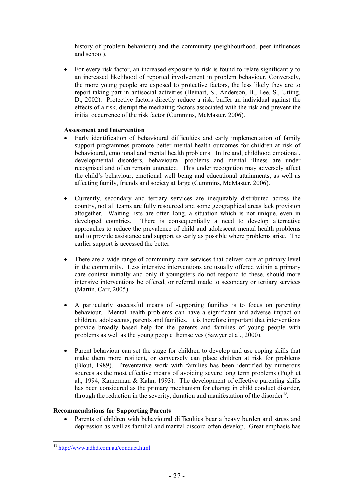history of problem behaviour) and the community (neighbourhood, peer influences and school).

• For every risk factor, an increased exposure to risk is found to relate significantly to an increased likelihood of reported involvement in problem behaviour. Conversely, the more young people are exposed to protective factors, the less likely they are to report taking part in antisocial activities (Beinart, S., Anderson, B., Lee, S., Utting, D., 2002). Protective factors directly reduce a risk, buffer an individual against the effects of a risk, disrupt the mediating factors associated with the risk and prevent the initial occurrence of the risk factor (Cummins, McMaster, 2006).

### **Assessment and Intervention**

- Early identification of behavioural difficulties and early implementation of family support programmes promote better mental health outcomes for children at risk of behavioural, emotional and mental health problems. In Ireland, childhood emotional, developmental disorders, behavioural problems and mental illness are under recognised and often remain untreated. This under recognition may adversely affect the child's behaviour, emotional well being and educational attainments, as well as affecting family, friends and society at large (Cummins, McMaster, 2006).
- · Currently, secondary and tertiary services are inequitably distributed across the country, not all teams are fully resourced and some geographical areas lack provision altogether. Waiting lists are often long, a situation which is not unique, even in developed countries. There is consequentially a need to develop alternative There is consequentially a need to develop alternative approaches to reduce the prevalence of child and adolescent mental health problems and to provide assistance and support as early as possible where problems arise. The earlier support is accessed the better.
- · There are a wide range of community care services that deliver care at primary level in the community. Less intensive interventions are usually offered within a primary care context initially and only if youngsters do not respond to these, should more intensive interventions be offered, or referral made to secondary or tertiary services (Martin, Carr, 2005).
- · A particularly successful means of supporting families is to focus on parenting behaviour. Mental health problems can have a significant and adverse impact on children, adolescents, parents and families. It is therefore important that interventions provide broadly based help for the parents and families of young people with problems as well as the young people themselves (Sawyer et al., 2000).
- Parent behaviour can set the stage for children to develop and use coping skills that make them more resilient, or conversely can place children at risk for problems (Blout, 1989). Preventative work with families has been identified by numerous sources as the most effective means of avoiding severe long term problems (Pugh et al., 1994; Kamerman & Kahn, 1993). The development of effective parenting skills has been considered as the primary mechanism for change in child conduct disorder, through the reduction in the severity, duration and manifestation of the disorder<sup>43</sup>.

# **Recommendations for Supporting Parents**

Parents of children with behavioural difficulties bear a heavy burden and stress and depression as well as familial and marital discord often develop. Great emphasis has

<sup>43</sup> http://www.adhd.com.au/conduct.html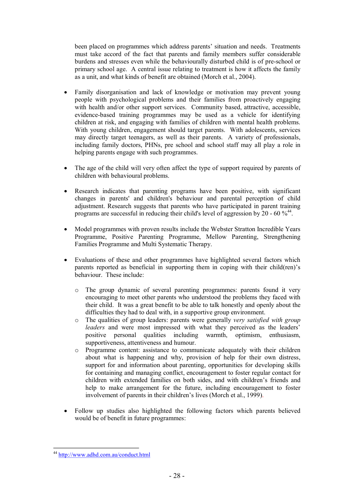been placed on programmes which address parents' situation and needs. Treatments must take accord of the fact that parents and family members suffer considerable burdens and stresses even while the behaviourally disturbed child is of preschool or primary school age. A central issue relating to treatment is how it affects the family as a unit, and what kinds of benefit are obtained (Morch et al., 2004).

- Family disorganisation and lack of knowledge or motivation may prevent young people with psychological problems and their families from proactively engaging with health and/or other support services. Community based, attractive, accessible, evidence-based training programmes may be used as a vehicle for identifying children at risk, and engaging with families of children with mental health problems. With young children, engagement should target parents. With adolescents, services may directly target teenagers, as well as their parents. A variety of professionals, including family doctors, PHNs, pre school and school staff may all play a role in helping parents engage with such programmes.
- The age of the child will very often affect the type of support required by parents of children with behavioural problems.
- · Research indicates that parenting programs have been positive, with significant changes in parents' and children's behaviour and parental perception of child adjustment. Research suggests that parents who have participated in parent training programs are successful in reducing their child's level of aggression by 20 - 60  $\%^{44}$ .
- · Model programmes with proven results include the Webster Stratton Incredible Years Programme, Positive Parenting Programme, Mellow Parenting, Strengthening Families Programme and Multi Systematic Therapy.
- · Evaluations of these and other programmes have highlighted several factors which parents reported as beneficial in supporting them in coping with their child(ren)'s behaviour. These include:
	- o The group dynamic of several parenting programmes: parents found it very encouraging to meet other parents who understood the problems they faced with their child. It was a great benefit to be able to talk honestly and openly about the difficulties they had to deal with, in a supportive group environment.
	- o The qualities of group leaders: parents were generally *very satisfied with group leaders* and were most impressed with what they perceived as the leaders' positive personal qualities including warmth, optimism, enthusiasm, including warmth, optimism, enthusiasm, supportiveness, attentiveness and humour.
	- o Programme content: assistance to communicate adequately with their children about what is happening and why, provision of help for their own distress, support for and information about parenting, opportunities for developing skills for containing and managing conflict, encouragement to foster regular contact for children with extended families on both sides, and with children's friends and help to make arrangement for the future, including encouragement to foster involvement of parents in their children's lives (Morch et al., 1999).
- · Follow up studies also highlighted the following factors which parents believed would be of benefit in future programmes:

<sup>44</sup> http://www.adhd.com.au/conduct.html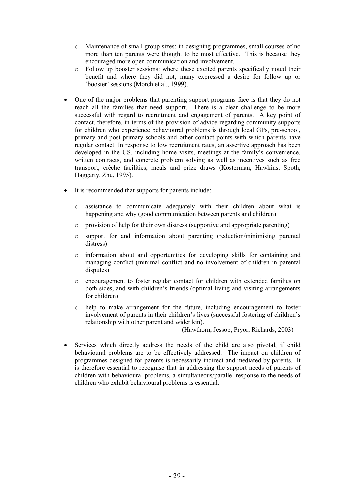- o Maintenance of small group sizes: in designing programmes, small courses of no more than ten parents were thought to be most effective. This is because they encouraged more open communication and involvement.
- o Follow up booster sessions: where these excited parents specifically noted their benefit and where they did not, many expressed a desire for follow up or 'booster' sessions (Morch et al., 1999).
- One of the major problems that parenting support programs face is that they do not reach all the families that need support. There is a clear challenge to be more successful with regard to recruitment and engagement of parents. A key point of contact, therefore, in terms of the provision of advice regarding community supports for children who experience behavioural problems is through local GPs, pre-school, primary and post primary schools and other contact points with which parents have regular contact. In response to low recruitment rates, an assertive approach has been developed in the US, including home visits, meetings at the family's convenience, written contracts, and concrete problem solving as well as incentives such as free transport, crèche facilities, meals and prize draws (Kosterman, Hawkins, Spoth, Haggarty, Zhu, 1995).
- · It is recommended that supports for parents include:
	- o assistance to communicate adequately with their children about what is happening and why (good communication between parents and children)
	- o provision of help for their own distress (supportive and appropriate parenting)
	- o support for and information about parenting (reduction/minimising parental distress)
	- o information about and opportunities for developing skills for containing and managing conflict (minimal conflict and no involvement of children in parental disputes)
	- o encouragement to foster regular contact for children with extended families on both sides, and with children's friends (optimal living and visiting arrangements for children)
	- o help to make arrangement for the future, including encouragement to foster involvement of parents in their children's lives (successful fostering of children's relationship with other parent and wider kin).

(Hawthorn, Jessop, Pryor, Richards, 2003)

· Services which directly address the needs of the child are also pivotal, if child behavioural problems are to be effectively addressed. The impact on children of programmes designed for parents is necessarily indirect and mediated by parents. It is therefore essential to recognise that in addressing the support needs of parents of children with behavioural problems, a simultaneous/parallel response to the needs of children who exhibit behavioural problems is essential.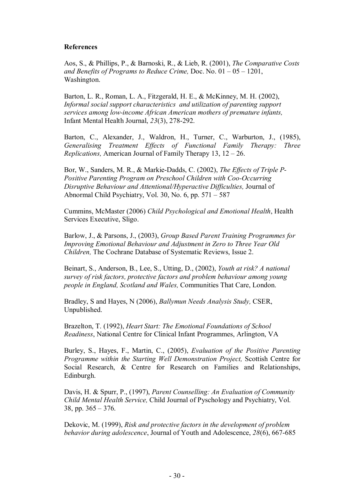# **References**

Aos, S., & Phillips, P., & Barnoski, R., & Lieb, R. (2001), *The Comparative Costs and Benefits of Programs to Reduce Crime,* Doc. No. 01 – 05 – 1201, Washington.

Barton, L. R., Roman, L. A., Fitzgerald, H. E., & McKinney, M. H. (2002), *Informal social support characteristics and utilization of parenting support services among lowincome African American mothers of premature infants,* Infant Mental Health Journal,  $23(3)$ ,  $278-292$ .

Barton, C., Alexander, J., Waldron, H., Turner, C., Warburton, J., (1985), *Generalising Treatment Effects of Functional Family Therapy: Three Replications,* American Journal of Family Therapy 13, 12 – 26.

Bor, W., Sanders, M. R., & Markie-Dadds, C. (2002), *The Effects of Triple P-Positive Parenting Program on Preschool Children with Coo-Occurring Disruptive Behaviour and Attentional/Hyperactive Difficulties,* Journal of Abnormal Child Psychiatry, Vol. 30, No. 6, pp. 571 – 587

Cummins, McMaster (2006) *Child Psychological and Emotional Health*, Health Services Executive, Sligo.

Barlow, J., & Parsons, J., (2003), *Group Based Parent Training Programmes for Improving Emotional Behaviour and Adjustment in Zero to Three Year Old Children,* The Cochrane Database of Systematic Reviews, Issue 2.

Beinart, S., Anderson, B., Lee, S., Utting, D., (2002), *Youth at risk? A national survey of risk factors, protective factors and problem behaviour among young people in England, Scotland and Wales,* Communities That Care, London.

Bradley, S and Hayes, N (2006), *Ballymun Needs Analysis Study,* CSER, Unpublished.

Brazelton, T. (1992), *Heart Start: The Emotional Foundations of School Readiness*, National Centre for Clinical Infant Programmes, Arlington, VA

Burley, S., Hayes, F., Martin, C., (2005), *Evaluation of the Positive Parenting Programme within the Starting Well Demonstration Project,* Scottish Centre for Social Research, & Centre for Research on Families and Relationships, Edinburgh.

Davis, H. & Spurr, P., (1997), *Parent Counselling: An Evaluation of Community Child Mental Health Service,* Child Journal of Pyschology and Psychiatry, Vol. 38, pp. 365 – 376.

Dekovic, M. (1999), *Risk and protective factors in the development of problem behavior during adolescence*, Journal of Youth and Adolescence, 28(6), 667-685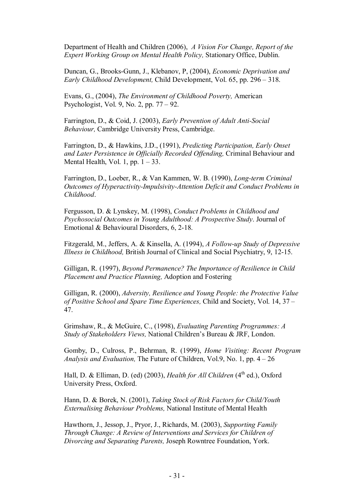Department of Health and Children (2006), *A Vision For Change, Report of the Expert Working Group on Mental Health Policy,* Stationary Office, Dublin.

Duncan, G., Brooks-Gunn, J., Klebanov, P. (2004), *Economic Deprivation and Early Childhood Development,* Child Development, Vol. 65, pp. 296 – 318.

Evans, G., (2004), *The Environment of Childhood Poverty,* American Psychologist, Vol. 9, No. 2, pp. 77 – 92.

Farrington, D., & Coid, J. (2003), *Early Prevention of Adult Anti-Social Behaviour,* Cambridge University Press, Cambridge.

Farrington, D., & Hawkins, J.D., (1991), *Predicting Participation, Early Onset and Later Persistence in Officially Recorded Offending,* Criminal Behaviour and Mental Health, Vol. 1, pp.  $1 - 33$ .

Farrington, D., Loeber, R., & Van Kammen, W. B. (1990), *Long-term Criminal Outcomes of Hyperactivity-Impulsivity-Attention Deficit and Conduct Problems in Childhood*.

Fergusson, D. & Lynskey, M. (1998), *Conduct Problems in Childhood and Psychosocial Outcomes in Young Adulthood: A Prospective Study*. Journal of Emotional & Behavioural Disorders, 6, 2-18.

Fitzgerald, M., Jeffers, A. & Kinsella, A. (1994), *A Followup Study of Depressive Illness in Childhood,* British Journal of Clinical and Social Psychiatry, 9, 12-15.

Gilligan, R. (1997), *Beyond Permanence? The Importance of Resilience in Child Placement and Practice Planning,* Adoption and Fostering

Gilligan, R. (2000), *Adversity, Resilience and Young People: the Protective Value of Positive School and Spare Time Experiences,* Child and Society, Vol. 14, 37 – 47.

Grimshaw, R., & McGuire, C., (1998), *Evaluating Parenting Programmes: A Study of Stakeholders Views,* National Children's Bureau & JRF, London.

Gomby, D., Culross, P., Behrman, R. (1999), *Home Visiting: Recent Program Analysis and Evaluation,* The Future of Children, Vol.9, No. 1, pp. 4 – 26

Hall, D. & Elliman, D. (ed) (2003), *Health for All Children* (4<sup>th</sup> ed.), Oxford University Press, Oxford.

Hann, D. & Borek, N. (2001), *Taking Stock of Risk Factors for Child/Youth Externalising Behaviour Problems,* National Institute of Mental Health

Hawthorn, J., Jessop, J., Pryor, J., Richards, M. (2003), *Supporting Family Through Change: A Review of Interventions and Services for Children of Divorcing and Separating Parents,* Joseph Rowntree Foundation, York.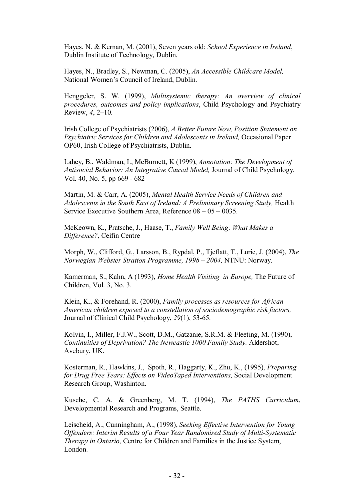Hayes, N. & Kernan, M. (2001), Seven years old: *School Experience in Ireland*, Dublin Institute of Technology, Dublin.

Hayes, N., Bradley, S., Newman, C. (2005), *An Accessible Childcare Model,* National Women's Council of Ireland, Dublin.

Henggeler, S. W. (1999), *Multisystemic therapy: An overview of clinical procedures, outcomes and policy implications*, Child Psychology and Psychiatry Review, *4*, 2–10.

Irish College of Psychiatrists (2006), *A Better Future Now, Position Statement on Psychiatric Services for Children and Adolescents in Ireland,* Occasional Paper OP60, Irish College of Psychiatrists, Dublin.

Lahey, B., Waldman, I., McBurnett, K (1999), *Annotation: The Development of Antisocial Behavior: An Integrative Causal Model,* Journal of Child Psychology, Vol. 40, No. 5, pp  $669 - 682$ 

Martin, M. & Carr, A. (2005), *Mental Health Service Needs of Children and Adolescents in the South East of Ireland: A Preliminary Screening Study,* Health Service Executive Southern Area, Reference 08 – 05 – 0035.

McKeown, K., Pratsche, J., Haase, T., *Family Well Being: What Makes a Difference?,* Ceifin Centre

Morph, W., Clifford, G., Larsson, B., Rypdal, P., Tjeflatt, T., Lurie, J. (2004), *The Norwegian Webster Stratton Programme, 1998 – 2004,* NTNU: Norway.

Kamerman, S., Kahn, A (1993), *Home Health Visiting in Europe,* The Future of Children, Vol. 3, No. 3.

Klein, K., & Forehand, R. (2000), *Family processes as resources for African American children exposed to a constellation of sociodemographic risk factors,* Journal of Clinical Child Psychology, 29(1), 53-65.

Kolvin, I., Miller, F.J.W., Scott, D.M., Gatzanie, S.R.M. & Fleeting, M. (1990), *Continuities of Deprivation? The Newcastle 1000 Family Study.* Aldershot, Avebury, UK.

Kosterman, R., Hawkins, J., Spoth, R., Haggarty, K., Zhu, K., (1995), *Preparing for Drug Free Years: Effects on VideoTaped Interventions,* Social Development Research Group, Washinton.

Kusche, C. A. & Greenberg, M. T. (1994), *The PATHS Curriculum*, Developmental Research and Programs, Seattle.

Leischeid, A., Cunningham, A., (1998), *Seeking Effective Intervention for Young Offenders: Interim Results of a Four Year Randomised Study of Multi-Systematic Therapy in Ontario,* Centre for Children and Families in the Justice System, London.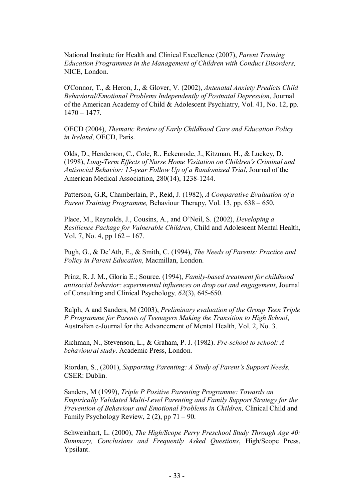National Institute for Health and Clinical Excellence (2007), *Parent Training Education Programmes in the Management of Children with Conduct Disorders,* NICE, London.

O'Connor, T., & Heron, J., & Glover, V. (2002), *Antenatal Anxiety Predicts Child Behavioral/Emotional Problems Independently of Postnatal Depression*, Journal of the American Academy of Child & Adolescent Psychiatry, Vol. 41, No. 12, pp. 1470 – 1477.

OECD (2004), *Thematic Review of Early Childhood Care and Education Policy in Ireland,* OECD, Paris.

Olds, D., Henderson, C., Cole, R., Eckenrode, J., Kitzman, H., & Luckey, D. (1998), *LongTerm Effects of Nurse Home Visitation on Children's Criminal and Antisocial Behavior: 15year Follow Up of a Randomized Trial*, Journal of the American Medical Association, 280(14), 1238-1244.

Patterson, G.R, Chamberlain, P., Reid, J. (1982), *A Comparative Evaluation of a Parent Training Programme,* Behaviour Therapy, Vol. 13, pp. 638 – 650.

Place, M., Reynolds, J., Cousins, A., and O'Neil, S. (2002), *Developing a Resilience Package for Vulnerable Children,* Child and Adolescent Mental Health, Vol. 7, No. 4, pp 162 – 167.

Pugh, G., & De'Ath, E., & Smith, C. (1994), *The Needs of Parents: Practice and Policy in Parent Education,* Macmillan, London.

Prinz, R. J. M., Gloria E.; Source. (1994), *Family-based treatment for childhood antisocial behavior: experimental influences on drop out and engagement*, Journal of Consulting and Clinical Psychology,  $62(3)$ ,  $645-650$ .

Ralph, A and Sanders, M (2003), *Preliminary evaluation of the Group Teen Triple P Programme for Parents of Teenagers Making the Transition to High School*, Australian e-Journal for the Advancement of Mental Health, Vol. 2, No. 3.

Richman, N., Stevenson, L., & Graham, P. J. (1982). *Pre-school to school: A behavioural study*. Academic Press, London.

Riordan, S., (2001), *Supporting Parenting: A Study of Parent's Support Needs,* CSER: Dublin.

Sanders, M (1999), *Triple P Positive Parenting Programme: Towards an Empirically Validated MultiLevel Parenting and Family Support Strategy for the Prevention of Behaviour and Emotional Problems in Children,* Clinical Child and Family Psychology Review, 2 (2), pp 71 – 90.

Schweinhart, L. (2000), *The High/Scope Perry Preschool Study Through Age 40: Summary, Conclusions and Frequently Asked Questions*, High/Scope Press, Ypsilant.